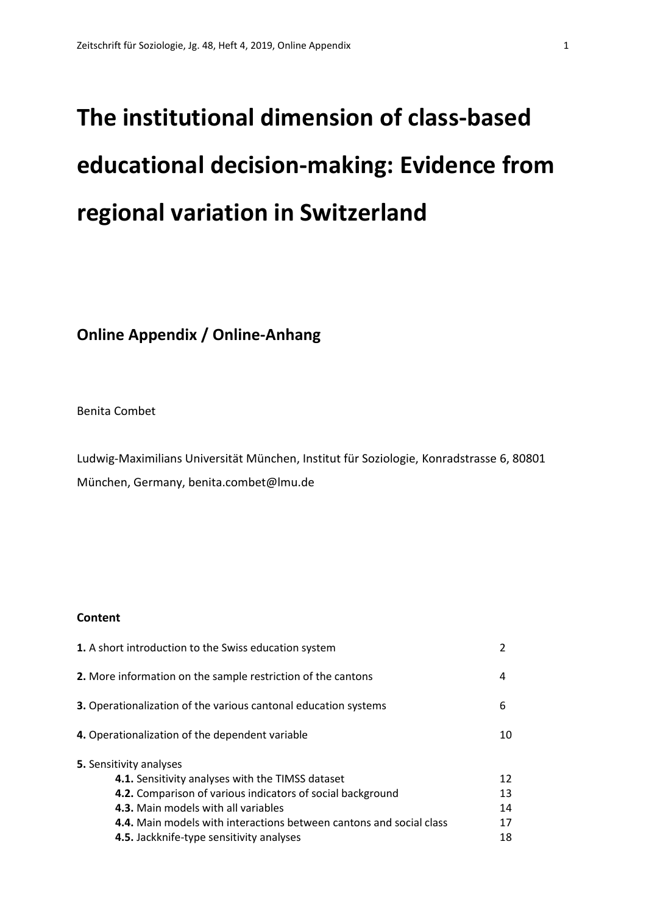# **The institutional dimension of class-based educational decision-making: Evidence from regional variation in Switzerland**

## **Online Appendix / Online-Anhang**

Benita Combet

Ludwig-Maximilians Universität München, Institut für Soziologie, Konradstrasse 6, 80801 München, Germany, benita.combet@lmu.de

## **Content**

| 1. A short introduction to the Swiss education system                      | $\mathfrak{p}$ |
|----------------------------------------------------------------------------|----------------|
| 2. More information on the sample restriction of the cantons               | 4              |
| <b>3.</b> Operationalization of the various cantonal education systems     | 6              |
| 4. Operationalization of the dependent variable                            | 10             |
| <b>5.</b> Sensitivity analyses                                             |                |
| 4.1. Sensitivity analyses with the TIMSS dataset                           | 12             |
| 4.2. Comparison of various indicators of social background                 | 13             |
| 4.3. Main models with all variables                                        | 14             |
| <b>4.4.</b> Main models with interactions between cantons and social class | 17             |
| 4.5. Jackknife-type sensitivity analyses                                   | 18             |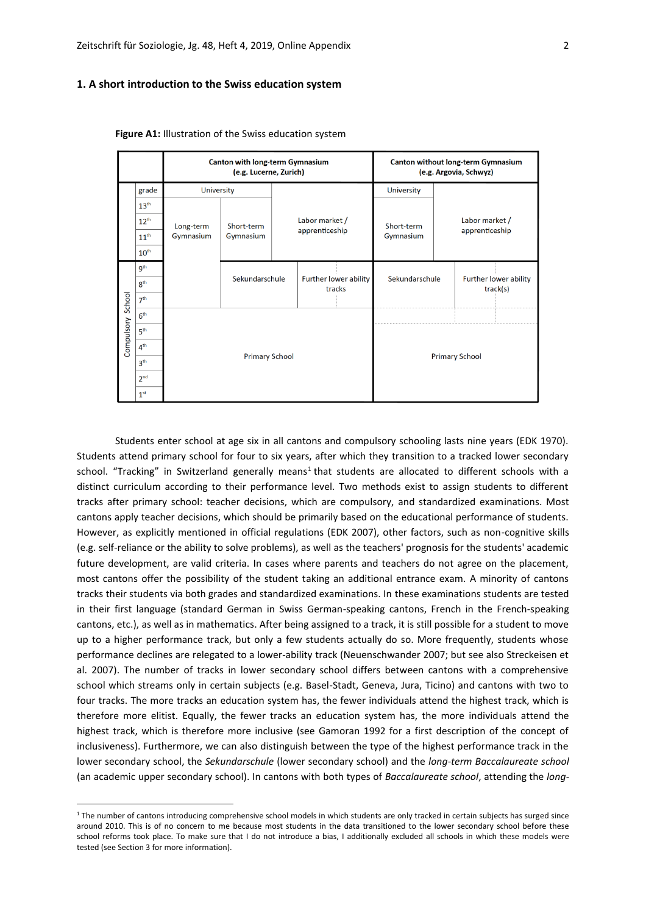## **1. A short introduction to the Swiss education system**

|            |                  |                   | Canton with long-term Gymnasium<br>(e.g. Lucerne, Zurich) |                                 | Canton without long-term Gymnasium<br>(e.g. Argovia, Schwyz) |  |                                   |  |
|------------|------------------|-------------------|-----------------------------------------------------------|---------------------------------|--------------------------------------------------------------|--|-----------------------------------|--|
|            | grade            | <b>University</b> |                                                           |                                 | University                                                   |  |                                   |  |
|            | 13 <sup>th</sup> |                   |                                                           |                                 |                                                              |  |                                   |  |
|            | $12^{th}$        | Long-term         | Short-term                                                | Labor market /                  | Short-term                                                   |  | Labor market /                    |  |
|            | 11 <sup>th</sup> | Gymnasium         | Gymnasium                                                 | apprenticeship                  | Gymnasium                                                    |  | apprenticeship                    |  |
|            | 10 <sup>th</sup> |                   |                                                           |                                 |                                                              |  |                                   |  |
|            | 9 <sup>th</sup>  |                   |                                                           |                                 |                                                              |  |                                   |  |
|            | 8 <sup>th</sup>  |                   | Sekundarschule                                            | Further lower ability<br>tracks | Sekundarschule                                               |  | Further lower ability<br>track(s) |  |
| School     | 7 <sup>th</sup>  |                   |                                                           |                                 |                                                              |  |                                   |  |
|            | 6 <sup>th</sup>  |                   |                                                           |                                 |                                                              |  |                                   |  |
| Compulsory | 5 <sup>th</sup>  |                   |                                                           |                                 |                                                              |  |                                   |  |
|            | 4 <sup>th</sup>  |                   |                                                           |                                 |                                                              |  |                                   |  |
|            | 3 <sup>th</sup>  |                   | <b>Primary School</b>                                     |                                 |                                                              |  | <b>Primary School</b>             |  |
|            | 2 <sup>nd</sup>  |                   |                                                           |                                 |                                                              |  |                                   |  |
|            | 1 <sup>st</sup>  |                   |                                                           |                                 |                                                              |  |                                   |  |

**Figure A1:** Illustration of the Swiss education system

Students enter school at age six in all cantons and compulsory schooling lasts nine years (EDK 1970). Students attend primary school for four to six years, after which they transition to a tracked lower secondary school. "Tracking" in Switzerland generally means<sup>1</sup> that students are allocated to different schools with a distinct curriculum according to their performance level. Two methods exist to assign students to different tracks after primary school: teacher decisions, which are compulsory, and standardized examinations. Most cantons apply teacher decisions, which should be primarily based on the educational performance of students. However, as explicitly mentioned in official regulations (EDK 2007), other factors, such as non-cognitive skills (e.g. self-reliance or the ability to solve problems), as well as the teachers' prognosis for the students' academic future development, are valid criteria. In cases where parents and teachers do not agree on the placement, most cantons offer the possibility of the student taking an additional entrance exam. A minority of cantons tracks their students via both grades and standardized examinations. In these examinations students are tested in their first language (standard German in Swiss German-speaking cantons, French in the French-speaking cantons, etc.), as well as in mathematics. After being assigned to a track, it is still possible for a student to move up to a higher performance track, but only a few students actually do so. More frequently, students whose performance declines are relegated to a lower-ability track (Neuenschwander 2007; but see also Streckeisen et al. 2007). The number of tracks in lower secondary school differs between cantons with a comprehensive school which streams only in certain subjects (e.g. Basel-Stadt, Geneva, Jura, Ticino) and cantons with two to four tracks. The more tracks an education system has, the fewer individuals attend the highest track, which is therefore more elitist. Equally, the fewer tracks an education system has, the more individuals attend the highest track, which is therefore more inclusive (see Gamoran 1992 for a first description of the concept of inclusiveness). Furthermore, we can also distinguish between the type of the highest performance track in the lower secondary school, the *Sekundarschule* (lower secondary school) and the *long-term Baccalaureate school* (an academic upper secondary school). In cantons with both types of *Baccalaureate school*, attending the *long-*

<sup>&</sup>lt;sup>1</sup> The number of cantons introducing comprehensive school models in which students are only tracked in certain subjects has surged since around 2010. This is of no concern to me because most students in the data transitioned to the lower secondary school before these school reforms took place. To make sure that I do not introduce a bias, I additionally excluded all schools in which these models were tested (see Section 3 for more information).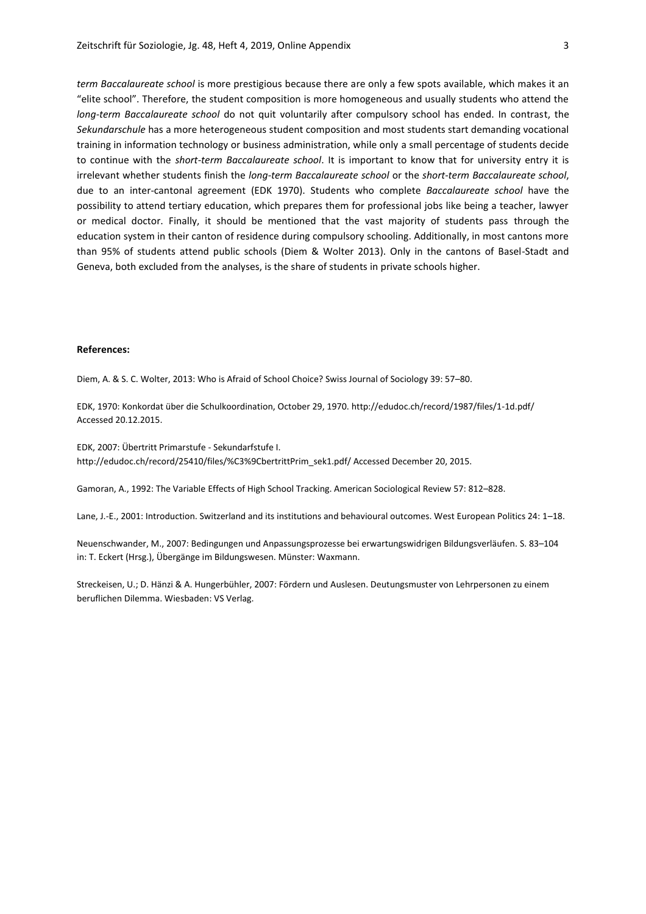*term Baccalaureate school* is more prestigious because there are only a few spots available, which makes it an "elite school". Therefore, the student composition is more homogeneous and usually students who attend the *long-term Baccalaureate school* do not quit voluntarily after compulsory school has ended. In contrast, the *Sekundarschule* has a more heterogeneous student composition and most students start demanding vocational training in information technology or business administration, while only a small percentage of students decide to continue with the *short-term Baccalaureate school*. It is important to know that for university entry it is irrelevant whether students finish the *long-term Baccalaureate school* or the *short-term Baccalaureate school*, due to an inter-cantonal agreement (EDK 1970). Students who complete *Baccalaureate school* have the possibility to attend tertiary education, which prepares them for professional jobs like being a teacher, lawyer or medical doctor. Finally, it should be mentioned that the vast majority of students pass through the education system in their canton of residence during compulsory schooling. Additionally, in most cantons more than 95% of students attend public schools (Diem & Wolter 2013). Only in the cantons of Basel-Stadt and Geneva, both excluded from the analyses, is the share of students in private schools higher.

## **References:**

Diem, A. & S. C. Wolter, 2013: Who is Afraid of School Choice? Swiss Journal of Sociology 39: 57–80.

EDK, 1970: Konkordat über die Schulkoordination, October 29, 1970. http://edudoc.ch/record/1987/files/1-1d.pdf/ Accessed 20.12.2015.

EDK, 2007: Übertritt Primarstufe - Sekundarfstufe I. http://edudoc.ch/record/25410/files/%C3%9CbertrittPrim\_sek1.pdf/ Accessed December 20, 2015.

Gamoran, A., 1992: The Variable Effects of High School Tracking. American Sociological Review 57: 812–828.

Lane, J.-E., 2001: Introduction. Switzerland and its institutions and behavioural outcomes. West European Politics 24: 1–18.

Neuenschwander, M., 2007: Bedingungen und Anpassungsprozesse bei erwartungswidrigen Bildungsverläufen. S. 83–104 in: T. Eckert (Hrsg.), Übergänge im Bildungswesen. Münster: Waxmann.

Streckeisen, U.; D. Hänzi & A. Hungerbühler, 2007: Fördern und Auslesen. Deutungsmuster von Lehrpersonen zu einem beruflichen Dilemma. Wiesbaden: VS Verlag.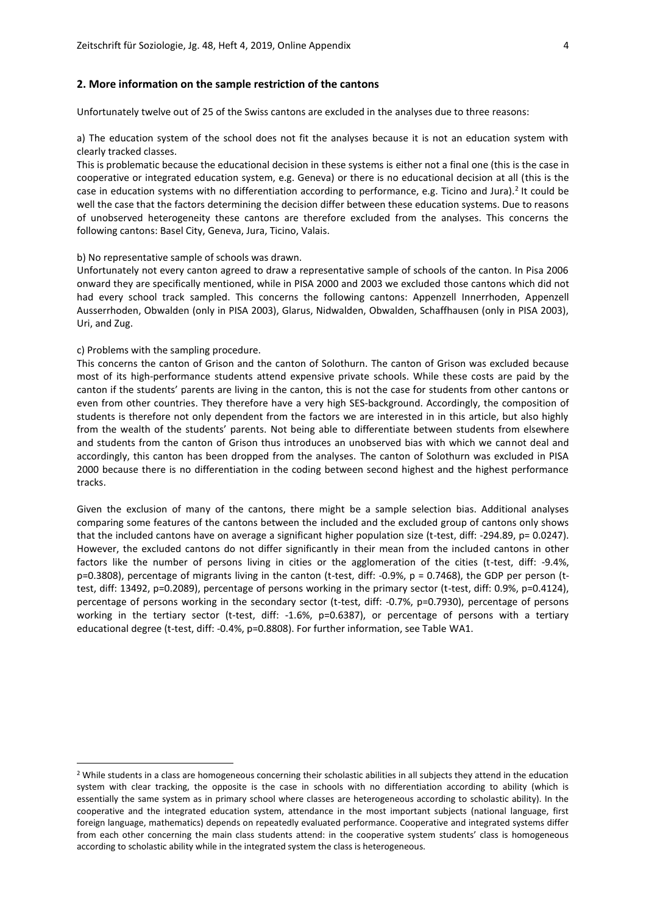#### **2. More information on the sample restriction of the cantons**

Unfortunately twelve out of 25 of the Swiss cantons are excluded in the analyses due to three reasons:

a) The education system of the school does not fit the analyses because it is not an education system with clearly tracked classes.

This is problematic because the educational decision in these systems is either not a final one (this is the case in cooperative or integrated education system, e.g. Geneva) or there is no educational decision at all (this is the case in education systems with no differentiation according to performance, e.g. Ticino and Jura).<sup>2</sup> It could be well the case that the factors determining the decision differ between these education systems. Due to reasons of unobserved heterogeneity these cantons are therefore excluded from the analyses. This concerns the following cantons: Basel City, Geneva, Jura, Ticino, Valais.

## b) No representative sample of schools was drawn.

Unfortunately not every canton agreed to draw a representative sample of schools of the canton. In Pisa 2006 onward they are specifically mentioned, while in PISA 2000 and 2003 we excluded those cantons which did not had every school track sampled. This concerns the following cantons: Appenzell Innerrhoden, Appenzell Ausserrhoden, Obwalden (only in PISA 2003), Glarus, Nidwalden, Obwalden, Schaffhausen (only in PISA 2003), Uri, and Zug.

## c) Problems with the sampling procedure.

This concerns the canton of Grison and the canton of Solothurn. The canton of Grison was excluded because most of its high-performance students attend expensive private schools. While these costs are paid by the canton if the students' parents are living in the canton, this is not the case for students from other cantons or even from other countries. They therefore have a very high SES-background. Accordingly, the composition of students is therefore not only dependent from the factors we are interested in in this article, but also highly from the wealth of the students' parents. Not being able to differentiate between students from elsewhere and students from the canton of Grison thus introduces an unobserved bias with which we cannot deal and accordingly, this canton has been dropped from the analyses. The canton of Solothurn was excluded in PISA 2000 because there is no differentiation in the coding between second highest and the highest performance tracks.

Given the exclusion of many of the cantons, there might be a sample selection bias. Additional analyses comparing some features of the cantons between the included and the excluded group of cantons only shows that the included cantons have on average a significant higher population size (t-test, diff: -294.89, p= 0.0247). However, the excluded cantons do not differ significantly in their mean from the included cantons in other factors like the number of persons living in cities or the agglomeration of the cities (t-test, diff: -9.4%, p=0.3808), percentage of migrants living in the canton (t-test, diff: -0.9%, p = 0.7468), the GDP per person (ttest, diff: 13492, p=0.2089), percentage of persons working in the primary sector (t-test, diff: 0.9%, p=0.4124), percentage of persons working in the secondary sector (t-test, diff: -0.7%, p=0.7930), percentage of persons working in the tertiary sector (t-test, diff: -1.6%, p=0.6387), or percentage of persons with a tertiary educational degree (t-test, diff: -0.4%, p=0.8808). For further information, see Table WA1.

<sup>&</sup>lt;sup>2</sup> While students in a class are homogeneous concerning their scholastic abilities in all subjects they attend in the education system with clear tracking, the opposite is the case in schools with no differentiation according to ability (which is essentially the same system as in primary school where classes are heterogeneous according to scholastic ability). In the cooperative and the integrated education system, attendance in the most important subjects (national language, first foreign language, mathematics) depends on repeatedly evaluated performance. Cooperative and integrated systems differ from each other concerning the main class students attend: in the cooperative system students' class is homogeneous according to scholastic ability while in the integrated system the class is heterogeneous.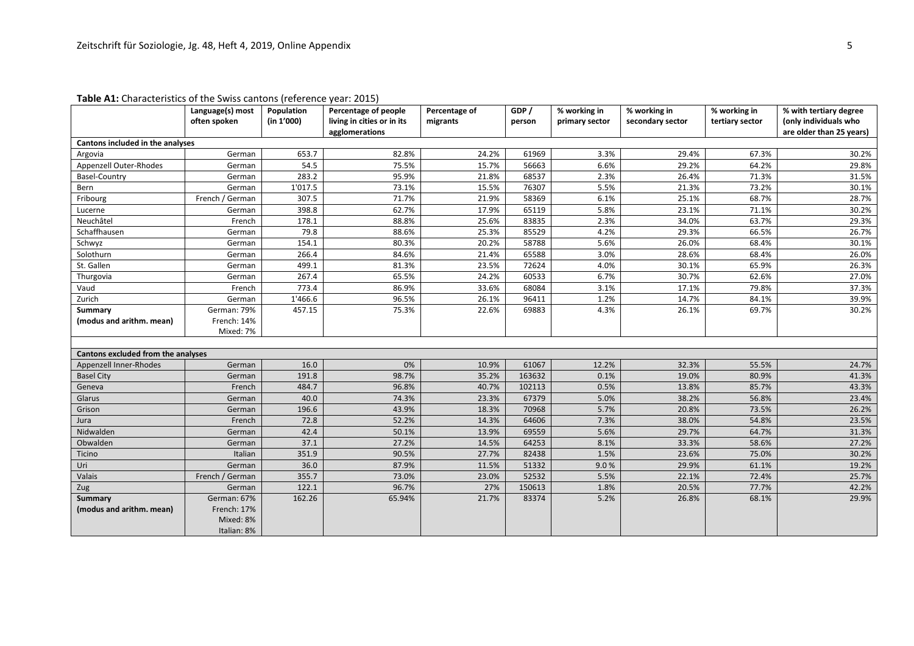|                                    | Language(s) most | Population | Percentage of people       | Percentage of | GDP/   | % working in   | % working in     | % working in    | % with tertiary degree   |
|------------------------------------|------------------|------------|----------------------------|---------------|--------|----------------|------------------|-----------------|--------------------------|
|                                    | often spoken     | (in 1'000) | living in cities or in its | migrants      | person | primary sector | secondary sector | tertiary sector | (only individuals who    |
|                                    |                  |            | agglomerations             |               |        |                |                  |                 | are older than 25 years) |
| Cantons included in the analyses   |                  |            |                            |               |        |                |                  |                 |                          |
| Argovia                            | German           | 653.7      | 82.8%                      | 24.2%         | 61969  | 3.3%           | 29.4%            | 67.3%           | 30.2%                    |
| Appenzell Outer-Rhodes             | German           | 54.5       | 75.5%                      | 15.7%         | 56663  | 6.6%           | 29.2%            | 64.2%           | 29.8%                    |
| Basel-Country                      | German           | 283.2      | 95.9%                      | 21.8%         | 68537  | 2.3%           | 26.4%            | 71.3%           | 31.5%                    |
| Bern                               | German           | 1'017.5    | 73.1%                      | 15.5%         | 76307  | 5.5%           | 21.3%            | 73.2%           | 30.1%                    |
| Fribourg                           | French / German  | 307.5      | 71.7%                      | 21.9%         | 58369  | 6.1%           | 25.1%            | 68.7%           | 28.7%                    |
| Lucerne                            | German           | 398.8      | 62.7%                      | 17.9%         | 65119  | 5.8%           | 23.1%            | 71.1%           | 30.2%                    |
| Neuchâtel                          | French           | 178.1      | 88.8%                      | 25.6%         | 83835  | 2.3%           | 34.0%            | 63.7%           | 29.3%                    |
| Schaffhausen                       | German           | 79.8       | 88.6%                      | 25.3%         | 85529  | 4.2%           | 29.3%            | 66.5%           | 26.7%                    |
| Schwyz                             | German           | 154.1      | 80.3%                      | 20.2%         | 58788  | 5.6%           | 26.0%            | 68.4%           | 30.1%                    |
| Solothurn                          | German           | 266.4      | 84.6%                      | 21.4%         | 65588  | 3.0%           | 28.6%            | 68.4%           | 26.0%                    |
| St. Gallen                         | German           | 499.1      | 81.3%                      | 23.5%         | 72624  | 4.0%           | 30.1%            | 65.9%           | 26.3%                    |
| Thurgovia                          | German           | 267.4      | 65.5%                      | 24.2%         | 60533  | 6.7%           | 30.7%            | 62.6%           | 27.0%                    |
| Vaud                               | French           | 773.4      | 86.9%                      | 33.6%         | 68084  | 3.1%           | 17.1%            | 79.8%           | 37.3%                    |
| Zurich                             | German           | 1'466.6    | 96.5%                      | 26.1%         | 96411  | 1.2%           | 14.7%            | 84.1%           | 39.9%                    |
| Summary                            | German: 79%      | 457.15     | 75.3%                      | 22.6%         | 69883  | 4.3%           | 26.1%            | 69.7%           | 30.2%                    |
| (modus and arithm. mean)           | French: 14%      |            |                            |               |        |                |                  |                 |                          |
|                                    | Mixed: 7%        |            |                            |               |        |                |                  |                 |                          |
|                                    |                  |            |                            |               |        |                |                  |                 |                          |
| Cantons excluded from the analyses |                  |            |                            |               |        |                |                  |                 |                          |
| Appenzell Inner-Rhodes             | German           | 16.0       | 0%                         | 10.9%         | 61067  | 12.2%          | 32.3%            | 55.5%           | 24.7%                    |
| <b>Basel City</b>                  | German           | 191.8      | 98.7%                      | 35.2%         | 163632 | 0.1%           | 19.0%            | 80.9%           | 41.3%                    |
| Geneva                             | French           | 484.7      | 96.8%                      | 40.7%         | 102113 | 0.5%           | 13.8%            | 85.7%           | 43.3%                    |
| Glarus                             | German           | 40.0       | 74.3%                      | 23.3%         | 67379  | 5.0%           | 38.2%            | 56.8%           | 23.4%                    |
| Grison                             | German           | 196.6      | 43.9%                      | 18.3%         | 70968  | 5.7%           | 20.8%            | 73.5%           | 26.2%                    |
| Jura                               | French           | 72.8       | 52.2%                      | 14.3%         | 64606  | 7.3%           | 38.0%            | 54.8%           | 23.5%                    |
| Nidwalden                          | German           | 42.4       | 50.1%                      | 13.9%         | 69559  | 5.6%           | 29.7%            | 64.7%           | 31.3%                    |
| Obwalden                           | German           | 37.1       | 27.2%                      | 14.5%         | 64253  | 8.1%           | 33.3%            | 58.6%           | 27.2%                    |
| Ticino                             | Italian          | 351.9      | 90.5%                      | 27.7%         | 82438  | 1.5%           | 23.6%            | 75.0%           | 30.2%                    |
| Uri                                | German           | 36.0       | 87.9%                      | 11.5%         | 51332  | 9.0%           | 29.9%            | 61.1%           | 19.2%                    |
| Valais                             | French / German  | 355.7      | 73.0%                      | 23.0%         | 52532  | 5.5%           | 22.1%            | 72.4%           | 25.7%                    |
| Zug                                | German           | 122.1      | 96.7%                      | 27%           | 150613 | 1.8%           | 20.5%            | 77.7%           | 42.2%                    |
| Summary                            | German: 67%      | 162.26     | 65.94%                     | 21.7%         | 83374  | 5.2%           | 26.8%            | 68.1%           | 29.9%                    |
| (modus and arithm. mean)           | French: 17%      |            |                            |               |        |                |                  |                 |                          |
|                                    | Mixed: 8%        |            |                            |               |        |                |                  |                 |                          |
|                                    | Italian: 8%      |            |                            |               |        |                |                  |                 |                          |

## **Table A1:** Characteristics of the Swiss cantons (reference year: 2015)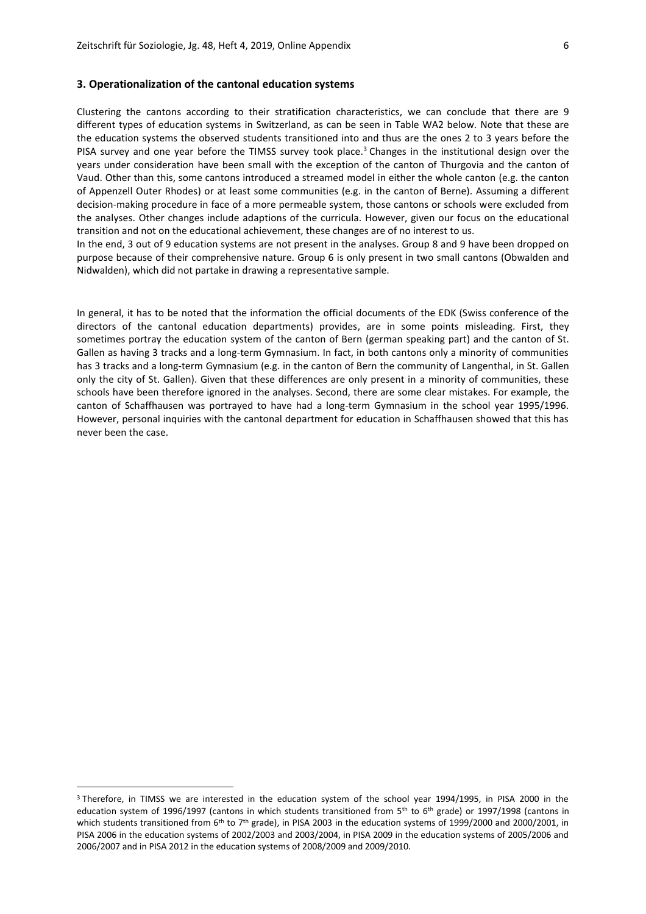## **3. Operationalization of the cantonal education systems**

Clustering the cantons according to their stratification characteristics, we can conclude that there are 9 different types of education systems in Switzerland, as can be seen in Table WA2 below. Note that these are the education systems the observed students transitioned into and thus are the ones 2 to 3 years before the PISA survey and one year before the TIMSS survey took place.<sup>3</sup> Changes in the institutional design over the years under consideration have been small with the exception of the canton of Thurgovia and the canton of Vaud. Other than this, some cantons introduced a streamed model in either the whole canton (e.g. the canton of Appenzell Outer Rhodes) or at least some communities (e.g. in the canton of Berne). Assuming a different decision-making procedure in face of a more permeable system, those cantons or schools were excluded from the analyses. Other changes include adaptions of the curricula. However, given our focus on the educational transition and not on the educational achievement, these changes are of no interest to us.

In the end, 3 out of 9 education systems are not present in the analyses. Group 8 and 9 have been dropped on purpose because of their comprehensive nature. Group 6 is only present in two small cantons (Obwalden and Nidwalden), which did not partake in drawing a representative sample.

In general, it has to be noted that the information the official documents of the EDK (Swiss conference of the directors of the cantonal education departments) provides, are in some points misleading. First, they sometimes portray the education system of the canton of Bern (german speaking part) and the canton of St. Gallen as having 3 tracks and a long-term Gymnasium. In fact, in both cantons only a minority of communities has 3 tracks and a long-term Gymnasium (e.g. in the canton of Bern the community of Langenthal, in St. Gallen only the city of St. Gallen). Given that these differences are only present in a minority of communities, these schools have been therefore ignored in the analyses. Second, there are some clear mistakes. For example, the canton of Schaffhausen was portrayed to have had a long-term Gymnasium in the school year 1995/1996. However, personal inquiries with the cantonal department for education in Schaffhausen showed that this has never been the case.

<sup>3</sup> Therefore, in TIMSS we are interested in the education system of the school year 1994/1995, in PISA 2000 in the education system of 1996/1997 (cantons in which students transitioned from 5<sup>th</sup> to 6<sup>th</sup> grade) or 1997/1998 (cantons in which students transitioned from  $6th$  to  $7th$  grade), in PISA 2003 in the education systems of 1999/2000 and 2000/2001, in PISA 2006 in the education systems of 2002/2003 and 2003/2004, in PISA 2009 in the education systems of 2005/2006 and 2006/2007 and in PISA 2012 in the education systems of 2008/2009 and 2009/2010.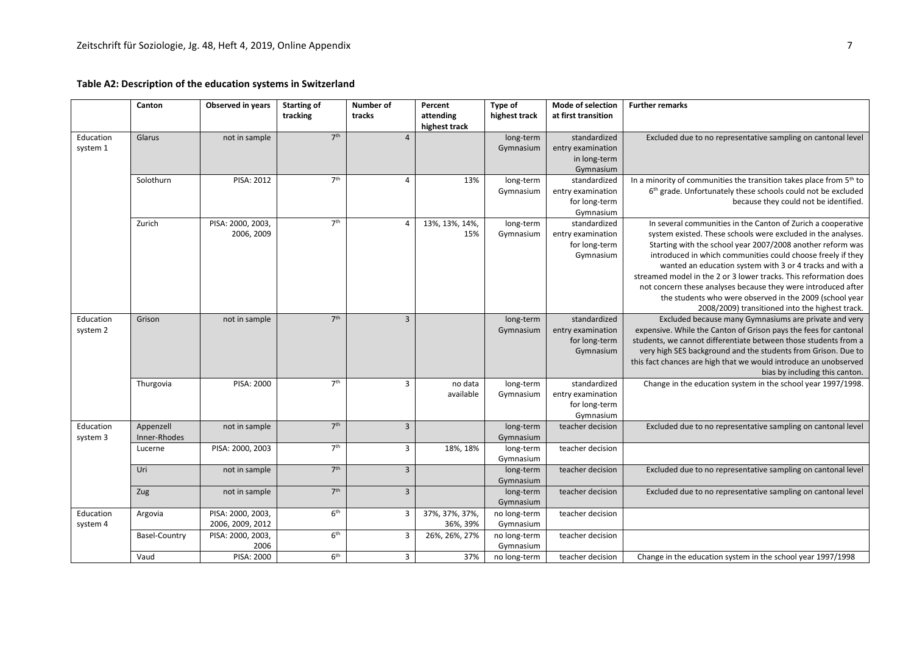## **Table A2: Description of the education systems in Switzerland**

|           | Canton               | Observed in years | <b>Starting of</b> | <b>Number of</b> | Percent        | Type of       | Mode of selection   | <b>Further remarks</b>                                                   |
|-----------|----------------------|-------------------|--------------------|------------------|----------------|---------------|---------------------|--------------------------------------------------------------------------|
|           |                      |                   | tracking           | tracks           | attending      | highest track | at first transition |                                                                          |
|           |                      |                   |                    |                  | highest track  |               |                     |                                                                          |
| Education | Glarus               | not in sample     | 7 <sup>th</sup>    | $\overline{4}$   |                | long-term     | standardized        | Excluded due to no representative sampling on cantonal level             |
| system 1  |                      |                   |                    |                  |                | Gymnasium     | entry examination   |                                                                          |
|           |                      |                   |                    |                  |                |               |                     |                                                                          |
|           |                      |                   |                    |                  |                |               | in long-term        |                                                                          |
|           |                      |                   |                    |                  |                |               | Gymnasium           |                                                                          |
|           | Solothurn            | PISA: 2012        | 7 <sup>th</sup>    | $\overline{4}$   | 13%            | long-term     | standardized        | In a minority of communities the transition takes place from 5th to      |
|           |                      |                   |                    |                  |                | Gymnasium     | entry examination   | 6 <sup>th</sup> grade. Unfortunately these schools could not be excluded |
|           |                      |                   |                    |                  |                |               | for long-term       | because they could not be identified.                                    |
|           |                      |                   |                    |                  |                |               | Gymnasium           |                                                                          |
|           | Zurich               | PISA: 2000, 2003, | 7 <sup>th</sup>    | $\overline{4}$   | 13%, 13%, 14%, | long-term     | standardized        | In several communities in the Canton of Zurich a cooperative             |
|           |                      | 2006, 2009        |                    |                  | 15%            | Gymnasium     | entry examination   | system existed. These schools were excluded in the analyses.             |
|           |                      |                   |                    |                  |                |               | for long-term       | Starting with the school year 2007/2008 another reform was               |
|           |                      |                   |                    |                  |                |               | Gymnasium           | introduced in which communities could choose freely if they              |
|           |                      |                   |                    |                  |                |               |                     | wanted an education system with 3 or 4 tracks and with a                 |
|           |                      |                   |                    |                  |                |               |                     | streamed model in the 2 or 3 lower tracks. This reformation does         |
|           |                      |                   |                    |                  |                |               |                     | not concern these analyses because they were introduced after            |
|           |                      |                   |                    |                  |                |               |                     | the students who were observed in the 2009 (school year                  |
|           |                      |                   |                    |                  |                |               |                     | 2008/2009) transitioned into the highest track.                          |
| Education | Grison               | not in sample     | 7 <sup>th</sup>    | $\overline{3}$   |                | long-term     | standardized        | Excluded because many Gymnasiums are private and very                    |
| system 2  |                      |                   |                    |                  |                | Gymnasium     | entry examination   | expensive. While the Canton of Grison pays the fees for cantonal         |
|           |                      |                   |                    |                  |                |               | for long-term       | students, we cannot differentiate between those students from a          |
|           |                      |                   |                    |                  |                |               | Gymnasium           | very high SES background and the students from Grison. Due to            |
|           |                      |                   |                    |                  |                |               |                     | this fact chances are high that we would introduce an unobserved         |
|           |                      |                   |                    |                  |                |               |                     | bias by including this canton.                                           |
|           |                      |                   | 7 <sup>th</sup>    |                  |                |               |                     |                                                                          |
|           | Thurgovia            | PISA: 2000        |                    | 3                | no data        | long-term     | standardized        | Change in the education system in the school year 1997/1998.             |
|           |                      |                   |                    |                  | available      | Gymnasium     | entry examination   |                                                                          |
|           |                      |                   |                    |                  |                |               | for long-term       |                                                                          |
|           |                      |                   |                    |                  |                |               | Gymnasium           |                                                                          |
| Education | Appenzell            | not in sample     | 7 <sup>th</sup>    | $\overline{3}$   |                | long-term     | teacher decision    | Excluded due to no representative sampling on cantonal level             |
| system 3  | Inner-Rhodes         |                   |                    |                  |                | Gymnasium     |                     |                                                                          |
|           | Lucerne              | PISA: 2000, 2003  | 7 <sup>th</sup>    | $\overline{3}$   | 18%, 18%       | long-term     | teacher decision    |                                                                          |
|           |                      |                   |                    |                  |                | Gymnasium     |                     |                                                                          |
|           | Uri                  | not in sample     | 7 <sup>th</sup>    | $\overline{3}$   |                | long-term     | teacher decision    | Excluded due to no representative sampling on cantonal level             |
|           |                      |                   |                    |                  |                | Gymnasium     |                     |                                                                          |
|           | Zug                  | not in sample     | 7 <sup>th</sup>    | $\overline{3}$   |                | long-term     | teacher decision    | Excluded due to no representative sampling on cantonal level             |
|           |                      |                   |                    |                  |                | Gymnasium     |                     |                                                                          |
| Education | Argovia              | PISA: 2000, 2003, | 6 <sup>th</sup>    | 3                | 37%, 37%, 37%, | no long-term  | teacher decision    |                                                                          |
| system 4  |                      | 2006, 2009, 2012  |                    |                  | 36%, 39%       | Gymnasium     |                     |                                                                          |
|           | <b>Basel-Country</b> | PISA: 2000, 2003, | 6 <sup>th</sup>    | 3                | 26%, 26%, 27%  | no long-term  | teacher decision    |                                                                          |
|           |                      | 2006              |                    |                  |                | Gymnasium     |                     |                                                                          |
|           |                      |                   |                    |                  |                |               |                     |                                                                          |
|           | Vaud                 | PISA: 2000        | 6 <sup>th</sup>    | 3                | 37%            | no long-term  | teacher decision    | Change in the education system in the school year 1997/1998              |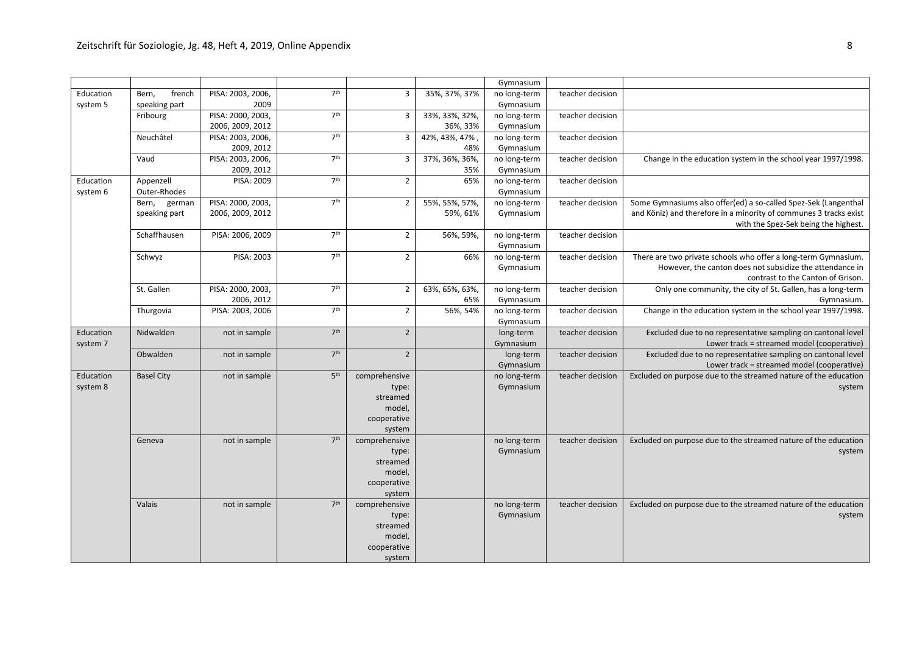|           |                   |                   |                 |                |                | Gymnasium    |                  |                                                                   |
|-----------|-------------------|-------------------|-----------------|----------------|----------------|--------------|------------------|-------------------------------------------------------------------|
| Education | french<br>Bern,   | PISA: 2003, 2006, | 7 <sup>th</sup> | 3              | 35%, 37%, 37%  | no long-term | teacher decision |                                                                   |
| system 5  | speaking part     | 2009              |                 |                |                | Gymnasium    |                  |                                                                   |
|           | Fribourg          | PISA: 2000, 2003, | 7 <sup>th</sup> | 3              | 33%, 33%, 32%, | no long-term | teacher decision |                                                                   |
|           |                   | 2006, 2009, 2012  |                 |                | 36%, 33%       | Gymnasium    |                  |                                                                   |
|           | Neuchâtel         | PISA: 2003, 2006, | 7 <sup>th</sup> | $\overline{3}$ | 42%, 43%, 47%, | no long-term | teacher decision |                                                                   |
|           |                   | 2009, 2012        |                 |                | 48%            | Gymnasium    |                  |                                                                   |
|           | Vaud              | PISA: 2003, 2006, | 7 <sup>th</sup> | 3              | 37%, 36%, 36%, | no long-term | teacher decision | Change in the education system in the school year 1997/1998.      |
|           |                   | 2009, 2012        |                 |                | 35%            | Gymnasium    |                  |                                                                   |
| Education | Appenzell         | PISA: 2009        | 7 <sup>th</sup> | $\overline{2}$ | 65%            | no long-term | teacher decision |                                                                   |
| system 6  | Outer-Rhodes      |                   |                 |                |                | Gymnasium    |                  |                                                                   |
|           | Bern,<br>german   | PISA: 2000, 2003, | 7 <sup>th</sup> | $\overline{2}$ | 55%, 55%, 57%, | no long-term | teacher decision | Some Gymnasiums also offer(ed) a so-called Spez-Sek (Langenthal   |
|           | speaking part     | 2006, 2009, 2012  |                 |                | 59%, 61%       | Gymnasium    |                  | and Köniz) and therefore in a minority of communes 3 tracks exist |
|           |                   |                   |                 |                |                |              |                  | with the Spez-Sek being the highest.                              |
|           | Schaffhausen      | PISA: 2006, 2009  | 7 <sup>th</sup> | $\overline{2}$ | 56%, 59%,      | no long-term | teacher decision |                                                                   |
|           |                   |                   |                 |                |                | Gymnasium    |                  |                                                                   |
|           | Schwyz            | PISA: 2003        | 7 <sup>th</sup> | $\overline{2}$ | 66%            | no long-term | teacher decision | There are two private schools who offer a long-term Gymnasium.    |
|           |                   |                   |                 |                |                | Gymnasium    |                  | However, the canton does not subsidize the attendance in          |
|           |                   |                   |                 |                |                |              |                  | contrast to the Canton of Grison.                                 |
|           | St. Gallen        | PISA: 2000, 2003, | 7 <sup>th</sup> | $\overline{2}$ | 63%, 65%, 63%, | no long-term | teacher decision | Only one community, the city of St. Gallen, has a long-term       |
|           |                   | 2006, 2012        |                 |                | 65%            | Gymnasium    |                  | Gymnasium.                                                        |
|           |                   | PISA: 2003, 2006  | 7 <sup>th</sup> |                |                |              | teacher decision | Change in the education system in the school year 1997/1998.      |
|           | Thurgovia         |                   |                 | $\overline{2}$ | 56%, 54%       | no long-term |                  |                                                                   |
|           | Nidwalden         |                   | 7 <sup>th</sup> |                |                | Gymnasium    |                  |                                                                   |
| Education |                   | not in sample     |                 | $\overline{2}$ |                | long-term    | teacher decision | Excluded due to no representative sampling on cantonal level      |
| system 7  |                   |                   | 7 <sup>th</sup> | $\overline{2}$ |                | Gymnasium    |                  | Lower track = streamed model (cooperative)                        |
|           | Obwalden          | not in sample     |                 |                |                | long-term    | teacher decision | Excluded due to no representative sampling on cantonal level      |
|           |                   |                   |                 |                |                | Gymnasium    |                  | Lower track = streamed model (cooperative)                        |
| Education | <b>Basel City</b> | not in sample     | 5 <sup>th</sup> | comprehensive  |                | no long-term | teacher decision | Excluded on purpose due to the streamed nature of the education   |
| system 8  |                   |                   |                 | type:          |                | Gymnasium    |                  | system                                                            |
|           |                   |                   |                 | streamed       |                |              |                  |                                                                   |
|           |                   |                   |                 | model,         |                |              |                  |                                                                   |
|           |                   |                   |                 | cooperative    |                |              |                  |                                                                   |
|           |                   |                   |                 | system         |                |              |                  |                                                                   |
|           | Geneva            | not in sample     | 7 <sup>th</sup> | comprehensive  |                | no long-term | teacher decision | Excluded on purpose due to the streamed nature of the education   |
|           |                   |                   |                 | type:          |                | Gymnasium    |                  | system                                                            |
|           |                   |                   |                 | streamed       |                |              |                  |                                                                   |
|           |                   |                   |                 | model,         |                |              |                  |                                                                   |
|           |                   |                   |                 | cooperative    |                |              |                  |                                                                   |
|           |                   |                   |                 | system         |                |              |                  |                                                                   |
|           | Valais            | not in sample     | 7 <sup>th</sup> | comprehensive  |                | no long-term | teacher decision | Excluded on purpose due to the streamed nature of the education   |
|           |                   |                   |                 | type:          |                | Gymnasium    |                  | system                                                            |
|           |                   |                   |                 | streamed       |                |              |                  |                                                                   |
|           |                   |                   |                 | model,         |                |              |                  |                                                                   |
|           |                   |                   |                 | cooperative    |                |              |                  |                                                                   |
|           |                   |                   |                 | system         |                |              |                  |                                                                   |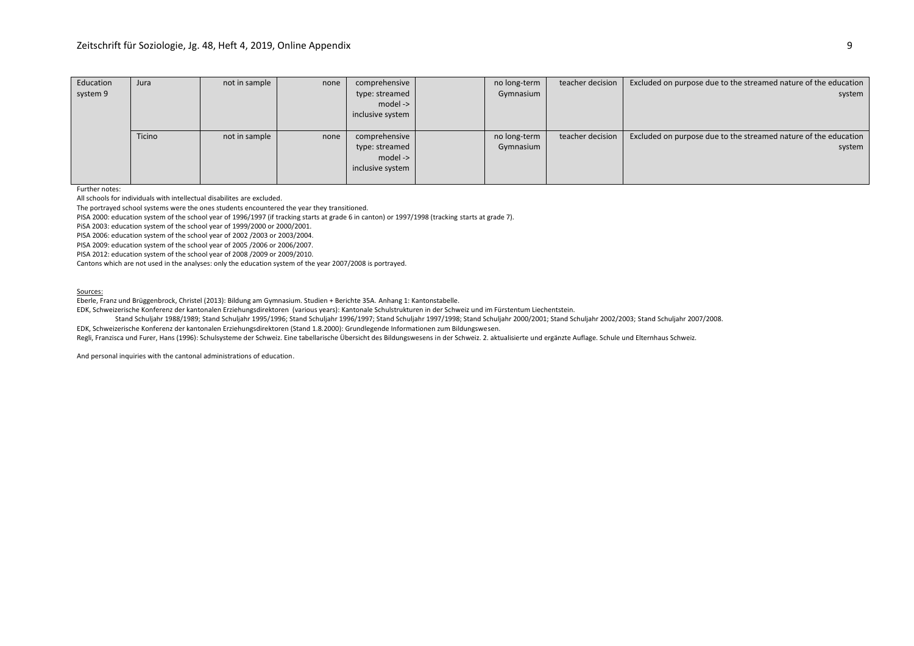| Education | Jura   | not in sample | none | comprehensive    | no long-term | teacher decision | Excluded on purpose due to the streamed nature of the education |
|-----------|--------|---------------|------|------------------|--------------|------------------|-----------------------------------------------------------------|
| system 9  |        |               |      | type: streamed   | Gymnasium    |                  | system                                                          |
|           |        |               |      | model ->         |              |                  |                                                                 |
|           |        |               |      | inclusive system |              |                  |                                                                 |
|           |        |               |      |                  |              |                  |                                                                 |
|           | Ticino | not in sample | none | comprehensive    | no long-term | teacher decision | Excluded on purpose due to the streamed nature of the education |
|           |        |               |      | type: streamed   | Gymnasium    |                  | system                                                          |
|           |        |               |      | model ->         |              |                  |                                                                 |
|           |        |               |      | inclusive system |              |                  |                                                                 |
|           |        |               |      |                  |              |                  |                                                                 |

Further notes:

All schools for individuals with intellectual disabilites are excluded.

The portrayed school systems were the ones students encountered the year they transitioned.

PISA 2000: education system of the school year of 1996/1997 (if tracking starts at grade 6 in canton) or 1997/1998 (tracking starts at grade 7).

PiSA 2003: education system of the school year of 1999/2000 or 2000/2001.

PISA 2006: education system of the school year of 2002 /2003 or 2003/2004.

PISA 2009: education system of the school year of 2005 /2006 or 2006/2007.

PISA 2012: education system of the school year of 2008 /2009 or 2009/2010.

Cantons which are not used in the analyses: only the education system of the year 2007/2008 is portrayed.

#### Sources:

Eberle, Franz und Brüggenbrock, Christel (2013): Bildung am Gymnasium. Studien + Berichte 35A. Anhang 1: Kantonstabelle.

EDK, Schweizerische Konferenz der kantonalen Erziehungsdirektoren (various years): Kantonale Schulstrukturen in der Schweiz und im Fürstentum Liechentstein.

Stand Schuljahr 1988/1989; Stand Schuljahr 1995/1996; Stand Schuljahr 1996/1997; Stand Schuljahr 1997/1998; Stand Schuljahr 2000/2001; Stand Schuljahr 2002/2003; Stand Schuljahr 2007/2008.

EDK, Schweizerische Konferenz der kantonalen Erziehungsdirektoren (Stand 1.8.2000): Grundlegende Informationen zum Bildungswesen.

Regli, Franzisca und Furer, Hans (1996): Schulsysteme der Schweiz. Eine tabellarische Übersicht des Bildungswesens in der Schweiz. 2. aktualisierte und ergänzte Auflage. Schule und Elternhaus Schweiz.

And personal inquiries with the cantonal administrations of education.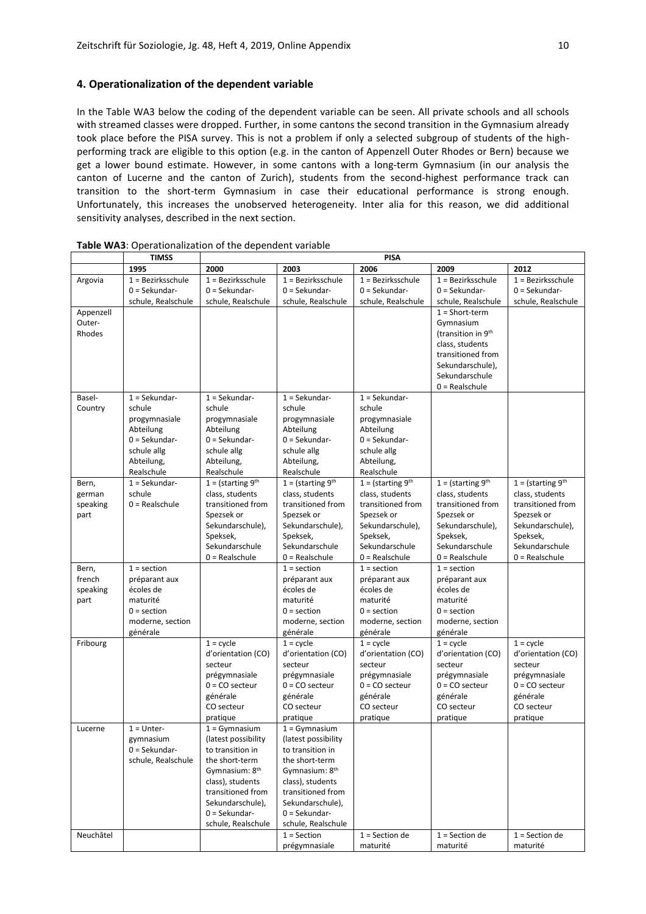## **4. Operationalization of the dependent variable**

In the Table WA3 below the coding of the dependent variable can be seen. All private schools and all schools with streamed classes were dropped. Further, in some cantons the second transition in the Gymnasium already took place before the PISA survey. This is not a problem if only a selected subgroup of students of the highperforming track are eligible to this option (e.g. in the canton of Appenzell Outer Rhodes or Bern) because we get a lower bound estimate. However, in some cantons with a long-term Gymnasium (in our analysis the canton of Lucerne and the canton of Zurich), students from the second-highest performance track can transition to the short-term Gymnasium in case their educational performance is strong enough. Unfortunately, this increases the unobserved heterogeneity. Inter alia for this reason, we did additional sensitivity analyses, described in the next section.

|           | <b>TIMSS</b>        |                                              |                                              | PISA                 |                                |                      |  |  |
|-----------|---------------------|----------------------------------------------|----------------------------------------------|----------------------|--------------------------------|----------------------|--|--|
|           | 1995                | 2000                                         | 2003                                         | 2006                 | 2009                           | 2012                 |  |  |
| Argovia   | $1 =$ Bezirksschule | $1 =$ Bezirksschule                          | $1 =$ Bezirksschule                          | $1 =$ Bezirksschule  | $1 =$ Bezirksschule            | $1 =$ Bezirksschule  |  |  |
|           | $0 =$ Sekundar-     | $0 =$ Sekundar-                              | $0 =$ Sekundar-                              | $0 =$ Sekundar-      | $0 =$ Sekundar-                | $0 =$ Sekundar-      |  |  |
|           | schule, Realschule  | schule, Realschule                           | schule, Realschule                           | schule, Realschule   | schule, Realschule             | schule, Realschule   |  |  |
| Appenzell |                     |                                              |                                              |                      | $1 = Short-term$               |                      |  |  |
| Outer-    |                     |                                              |                                              |                      | Gymnasium                      |                      |  |  |
| Rhodes    |                     |                                              |                                              |                      | (transition in 9 <sup>th</sup> |                      |  |  |
|           |                     |                                              |                                              |                      | class, students                |                      |  |  |
|           |                     |                                              |                                              |                      | transitioned from              |                      |  |  |
|           |                     |                                              |                                              |                      | Sekundarschule),               |                      |  |  |
|           |                     |                                              |                                              |                      | Sekundarschule                 |                      |  |  |
|           |                     |                                              |                                              |                      | $0 =$ Realschule               |                      |  |  |
| Basel-    | $1 =$ Sekundar-     | $1 =$ Sekundar-                              | $1 =$ Sekundar-                              | $1 =$ Sekundar-      |                                |                      |  |  |
| Country   | schule              | schule                                       | schule                                       | schule               |                                |                      |  |  |
|           | progymnasiale       | progymnasiale                                | progymnasiale                                | progymnasiale        |                                |                      |  |  |
|           | Abteilung           | Abteilung                                    | Abteilung                                    | Abteilung            |                                |                      |  |  |
|           | $0 =$ Sekundar-     | $0 =$ Sekundar-                              | $0 =$ Sekundar-                              | 0 = Sekundar-        |                                |                      |  |  |
|           | schule allg         | schule allg                                  | schule allg                                  | schule allg          |                                |                      |  |  |
|           | Abteilung,          | Abteilung,                                   | Abteilung,                                   | Abteilung,           |                                |                      |  |  |
|           | Realschule          | Realschule                                   | Realschule                                   | Realschule           |                                |                      |  |  |
| Bern,     | $1 =$ Sekundar-     | $1 = (starting 9th)$                         | $1 = (starting 9th)$                         | $1 = (starting 9th)$ | $1 = (starting 9th)$           | $1 = (starting 9th)$ |  |  |
| german    | schule              | class. students                              | class, students                              | class, students      | class. students                | class, students      |  |  |
| speaking  | $0 =$ Realschule    | transitioned from                            | transitioned from                            | transitioned from    | transitioned from              | transitioned from    |  |  |
| part      |                     | Spezsek or                                   | Spezsek or                                   | Spezsek or           | Spezsek or                     | Spezsek or           |  |  |
|           |                     | Sekundarschule),                             | Sekundarschule),                             | Sekundarschule),     | Sekundarschule),               | Sekundarschule),     |  |  |
|           |                     | Speksek,                                     | Speksek,                                     | Speksek,             | Speksek,                       | Speksek,             |  |  |
|           |                     | Sekundarschule                               | Sekundarschule                               | Sekundarschule       | Sekundarschule                 | Sekundarschule       |  |  |
|           |                     | $0 =$ Realschule                             | $0 =$ Realschule                             | $0 =$ Realschule     | $0 =$ Realschule               | $0 =$ Realschule     |  |  |
| Bern,     | $1 = section$       |                                              | $1 = section$                                | $1 = section$        | $1 = section$                  |                      |  |  |
| french    | préparant aux       |                                              | préparant aux                                | préparant aux        | préparant aux                  |                      |  |  |
| speaking  | écoles de           |                                              | écoles de                                    | écoles de            | écoles de                      |                      |  |  |
| part      | maturité            |                                              | maturité                                     | maturité             | maturité                       |                      |  |  |
|           | $0 = section$       |                                              | $0 = section$                                | $0 = section$        | $0 = section$                  |                      |  |  |
|           | moderne, section    |                                              | moderne, section                             | moderne, section     | moderne, section               |                      |  |  |
|           | générale            |                                              | générale                                     | générale             | générale                       |                      |  |  |
| Fribourg  |                     | $1 = cycle$                                  | $1 = cycle$                                  | $1 = cycle$          | $1 = cycle$                    | $1 = cycle$          |  |  |
|           |                     | d'orientation (CO)                           | d'orientation (CO)                           | d'orientation (CO)   | d'orientation (CO)             | d'orientation (CO)   |  |  |
|           |                     | secteur                                      | secteur                                      | secteur              | secteur                        | secteur              |  |  |
|           |                     | prégymnasiale                                | prégymnasiale                                | prégymnasiale        | prégymnasiale                  | prégymnasiale        |  |  |
|           |                     | $0 = CO$ secteur                             | $0 = CO$ secteur                             | $0 = CO$ secteur     | $0 = CO$ secteur               | $0 = CO$ secteur     |  |  |
|           |                     | générale                                     | générale                                     | générale             | générale                       | générale             |  |  |
|           |                     | CO secteur                                   | CO secteur                                   | CO secteur           | CO secteur                     | CO secteur           |  |  |
|           |                     | pratique                                     | pratique                                     | pratique             | pratique                       | pratique             |  |  |
| Lucerne   | $1 =$ Unter-        | $1 = Gymnasium$                              | $1 = Gymnasium$                              |                      |                                |                      |  |  |
|           | gymnasium           | (latest possibility                          | (latest possibility                          |                      |                                |                      |  |  |
|           | $0 =$ Sekundar-     | to transition in                             | to transition in                             |                      |                                |                      |  |  |
|           | schule, Realschule  | the short-term<br>Gymnasium: 8 <sup>th</sup> | the short-term<br>Gymnasium: 8 <sup>th</sup> |                      |                                |                      |  |  |
|           |                     | class), students                             | class), students                             |                      |                                |                      |  |  |
|           |                     |                                              |                                              |                      |                                |                      |  |  |
|           |                     | transitioned from<br>Sekundarschule),        | transitioned from<br>Sekundarschule),        |                      |                                |                      |  |  |
|           |                     | $0 =$ Sekundar-                              | $0 =$ Sekundar-                              |                      |                                |                      |  |  |
|           |                     | schule, Realschule                           | schule, Realschule                           |                      |                                |                      |  |  |
| Neuchâtel |                     |                                              | $1 = Section$                                | $1 = Section de$     | $1 = Section de$               | $1 = Section de$     |  |  |
|           |                     |                                              | prégymnasiale                                | maturité             | maturité                       | maturité             |  |  |
|           |                     |                                              |                                              |                      |                                |                      |  |  |

**Table WA3**: Operationalization of the dependent variable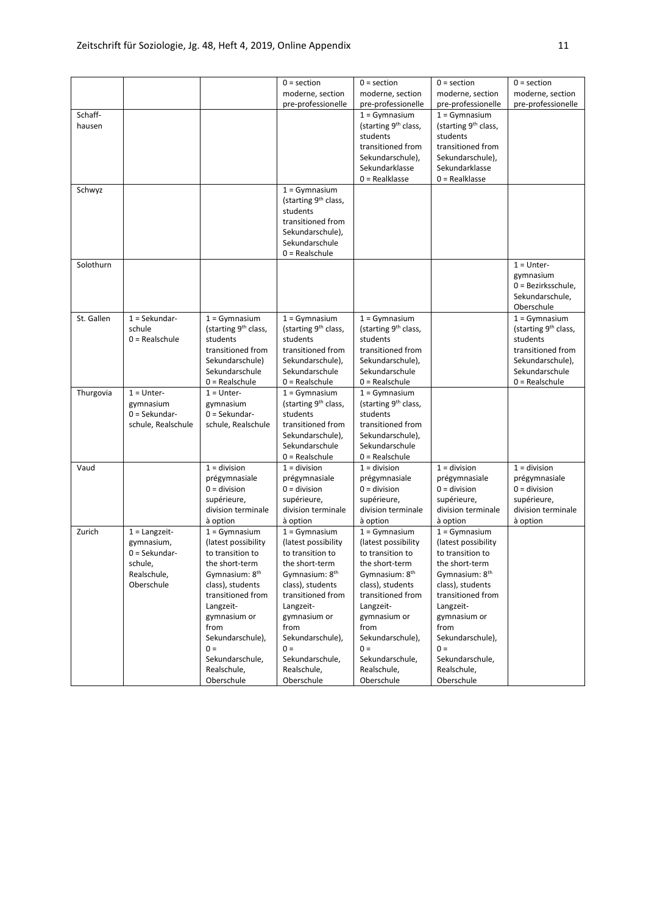|                   |                                                                                          |                                                                                                                                                                                                                                                                       | $0 = section$<br>moderne, section                                                                                                                                                                                                                                     | $0 = section$<br>moderne, section                                                                                                                                                                                                                                     | $0 = section$<br>moderne, section                                                                                                                                                                                                                                     | $0 = section$<br>moderne, section                                                                                                              |
|-------------------|------------------------------------------------------------------------------------------|-----------------------------------------------------------------------------------------------------------------------------------------------------------------------------------------------------------------------------------------------------------------------|-----------------------------------------------------------------------------------------------------------------------------------------------------------------------------------------------------------------------------------------------------------------------|-----------------------------------------------------------------------------------------------------------------------------------------------------------------------------------------------------------------------------------------------------------------------|-----------------------------------------------------------------------------------------------------------------------------------------------------------------------------------------------------------------------------------------------------------------------|------------------------------------------------------------------------------------------------------------------------------------------------|
|                   |                                                                                          |                                                                                                                                                                                                                                                                       | pre-professionelle                                                                                                                                                                                                                                                    | pre-professionelle                                                                                                                                                                                                                                                    | pre-professionelle                                                                                                                                                                                                                                                    | pre-professionelle                                                                                                                             |
| Schaff-<br>hausen |                                                                                          |                                                                                                                                                                                                                                                                       |                                                                                                                                                                                                                                                                       | $1 = Gymnasium$<br>(starting 9 <sup>th</sup> class,<br>students<br>transitioned from<br>Sekundarschule),<br>Sekundarklasse<br>$0 = Realklasse$                                                                                                                        | $1 = Gymnasium$<br>(starting 9 <sup>th</sup> class,<br>students<br>transitioned from<br>Sekundarschule),<br>Sekundarklasse<br>$0 = Realklasse$                                                                                                                        |                                                                                                                                                |
| Schwyz            |                                                                                          |                                                                                                                                                                                                                                                                       | $1 = Gymnasium$<br>(starting 9 <sup>th</sup> class,<br>students<br>transitioned from<br>Sekundarschule),<br>Sekundarschule<br>$0 =$ Realschule                                                                                                                        |                                                                                                                                                                                                                                                                       |                                                                                                                                                                                                                                                                       |                                                                                                                                                |
| Solothurn         |                                                                                          |                                                                                                                                                                                                                                                                       |                                                                                                                                                                                                                                                                       |                                                                                                                                                                                                                                                                       |                                                                                                                                                                                                                                                                       | $1 =$ Unter-<br>gymnasium<br>0 = Bezirksschule,<br>Sekundarschule.<br>Oberschule                                                               |
| St. Gallen        | $1 =$ Sekundar-<br>schule<br>$0 =$ Realschule                                            | $1 = Gymnasium$<br>(starting 9 <sup>th</sup> class,<br>students<br>transitioned from<br>Sekundarschule)<br>Sekundarschule<br>$0 =$ Realschule                                                                                                                         | $1 = Gymnasium$<br>(starting 9 <sup>th</sup> class,<br>students<br>transitioned from<br>Sekundarschule),<br>Sekundarschule<br>$0 =$ Realschule                                                                                                                        | $1 = Gymnasium$<br>(starting 9 <sup>th</sup> class,<br>students<br>transitioned from<br>Sekundarschule),<br>Sekundarschule<br>$0 =$ Realschule                                                                                                                        |                                                                                                                                                                                                                                                                       | $1 = Gymnasium$<br>(starting 9 <sup>th</sup> class,<br>students<br>transitioned from<br>Sekundarschule),<br>Sekundarschule<br>$0 =$ Realschule |
| Thurgovia         | $1 =$ Unter-<br>gymnasium<br>$0 =$ Sekundar-<br>schule, Realschule                       | $1 =$ Unter-<br>gymnasium<br>$0 =$ Sekundar-<br>schule, Realschule                                                                                                                                                                                                    | $1 = Gymnasium$<br>(starting 9 <sup>th</sup> class,<br>students<br>transitioned from<br>Sekundarschule),<br>Sekundarschule<br>$0 =$ Realschule                                                                                                                        | $1 = Gymnasium$<br>(starting 9 <sup>th</sup> class,<br>students<br>transitioned from<br>Sekundarschule),<br>Sekundarschule<br>$0 =$ Realschule                                                                                                                        |                                                                                                                                                                                                                                                                       |                                                                                                                                                |
| Vaud              |                                                                                          | $1 =$ division<br>prégymnasiale<br>$0 =$ division<br>supérieure,<br>division terminale<br>à option                                                                                                                                                                    | $1 =$ division<br>prégymnasiale<br>$0 =$ division<br>supérieure,<br>division terminale<br>à option                                                                                                                                                                    | $1 =$ division<br>prégymnasiale<br>$0 =$ division<br>supérieure,<br>division terminale<br>à option                                                                                                                                                                    | $1 =$ division<br>prégymnasiale<br>$0 =$ division<br>supérieure,<br>division terminale<br>à option                                                                                                                                                                    | $1 =$ division<br>prégymnasiale<br>$0 =$ division<br>supérieure,<br>division terminale<br>à option                                             |
| Zurich            | $1 =$ Langzeit-<br>gymnasium,<br>$0 =$ Sekundar-<br>schule,<br>Realschule,<br>Oberschule | $1 = Gymnasium$<br>(latest possibility<br>to transition to<br>the short-term<br>Gymnasium: 8 <sup>th</sup><br>class), students<br>transitioned from<br>Langzeit-<br>gymnasium or<br>from<br>Sekundarschule),<br>$0 =$<br>Sekundarschule,<br>Realschule,<br>Oberschule | $1 = Gymnasium$<br>(latest possibility<br>to transition to<br>the short-term<br>Gymnasium: 8 <sup>th</sup><br>class), students<br>transitioned from<br>Langzeit-<br>gymnasium or<br>from<br>Sekundarschule),<br>$0 =$<br>Sekundarschule,<br>Realschule,<br>Oberschule | $1 = Gymnasium$<br>(latest possibility<br>to transition to<br>the short-term<br>Gymnasium: 8 <sup>th</sup><br>class), students<br>transitioned from<br>Langzeit-<br>gymnasium or<br>from<br>Sekundarschule),<br>$0 =$<br>Sekundarschule,<br>Realschule,<br>Oberschule | $1 = Gymnasium$<br>(latest possibility<br>to transition to<br>the short-term<br>Gymnasium: 8 <sup>th</sup><br>class), students<br>transitioned from<br>Langzeit-<br>gymnasium or<br>from<br>Sekundarschule),<br>$0 =$<br>Sekundarschule,<br>Realschule,<br>Oberschule |                                                                                                                                                |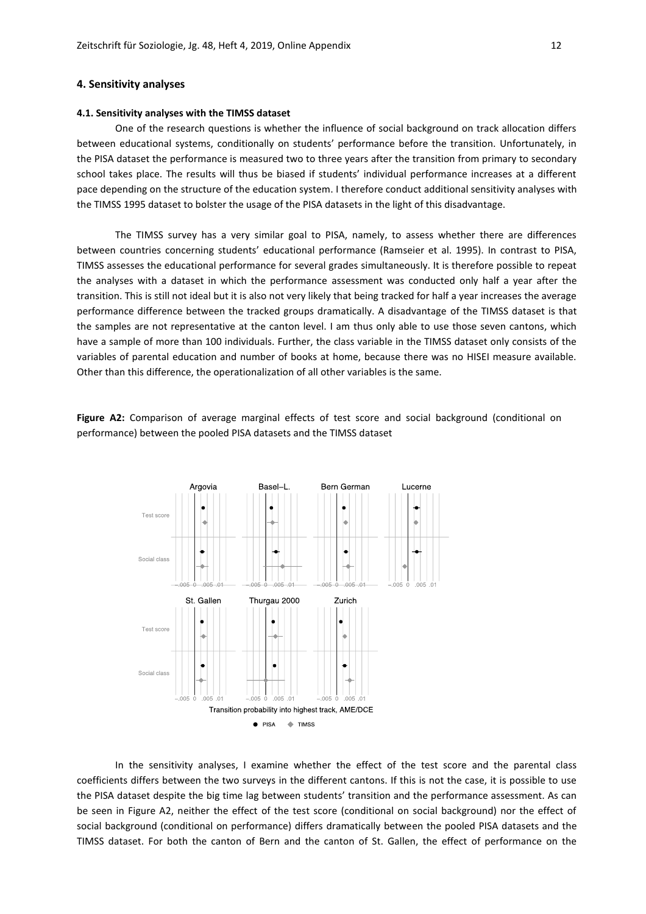## **4. Sensitivity analyses**

## **4.1. Sensitivity analyses with the TIMSS dataset**

One of the research questions is whether the influence of social background on track allocation differs between educational systems, conditionally on students' performance before the transition. Unfortunately, in the PISA dataset the performance is measured two to three years after the transition from primary to secondary school takes place. The results will thus be biased if students' individual performance increases at a different pace depending on the structure of the education system. I therefore conduct additional sensitivity analyses with the TIMSS 1995 dataset to bolster the usage of the PISA datasets in the light of this disadvantage.

The TIMSS survey has a very similar goal to PISA, namely, to assess whether there are differences between countries concerning students' educational performance (Ramseier et al. 1995). In contrast to PISA, TIMSS assesses the educational performance for several grades simultaneously. It is therefore possible to repeat the analyses with a dataset in which the performance assessment was conducted only half a year after the transition. This is still not ideal but it is also not very likely that being tracked for half a year increases the average performance difference between the tracked groups dramatically. A disadvantage of the TIMSS dataset is that the samples are not representative at the canton level. I am thus only able to use those seven cantons, which have a sample of more than 100 individuals. Further, the class variable in the TIMSS dataset only consists of the variables of parental education and number of books at home, because there was no HISEI measure available. Other than this difference, the operationalization of all other variables is the same.

**Figure A2:** Comparison of average marginal effects of test score and social background (conditional on performance) between the pooled PISA datasets and the TIMSS dataset



In the sensitivity analyses, I examine whether the effect of the test score and the parental class coefficients differs between the two surveys in the different cantons. If this is not the case, it is possible to use the PISA dataset despite the big time lag between students' transition and the performance assessment. As can be seen in Figure A2, neither the effect of the test score (conditional on social background) nor the effect of social background (conditional on performance) differs dramatically between the pooled PISA datasets and the TIMSS dataset. For both the canton of Bern and the canton of St. Gallen, the effect of performance on the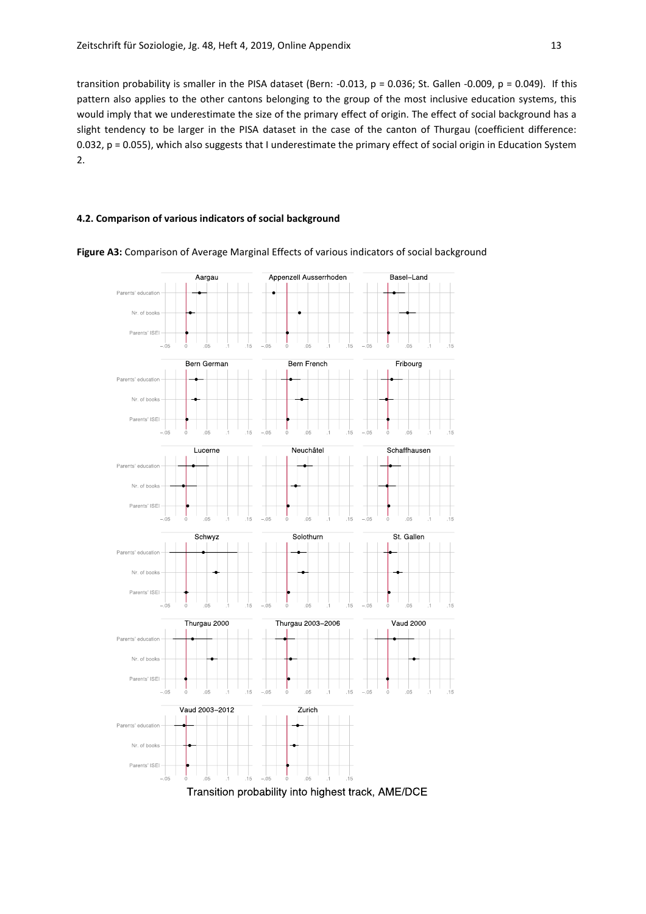transition probability is smaller in the PISA dataset (Bern: -0.013,  $p = 0.036$ ; St. Gallen -0.009,  $p = 0.049$ ). If this pattern also applies to the other cantons belonging to the group of the most inclusive education systems, this would imply that we underestimate the size of the primary effect of origin. The effect of social background has a slight tendency to be larger in the PISA dataset in the case of the canton of Thurgau (coefficient difference: 0.032, p = 0.055), which also suggests that I underestimate the primary effect of social origin in Education System 2.

## **4.2. Comparison of various indicators of social background**



**Figure A3:** Comparison of Average Marginal Effects of various indicators of social background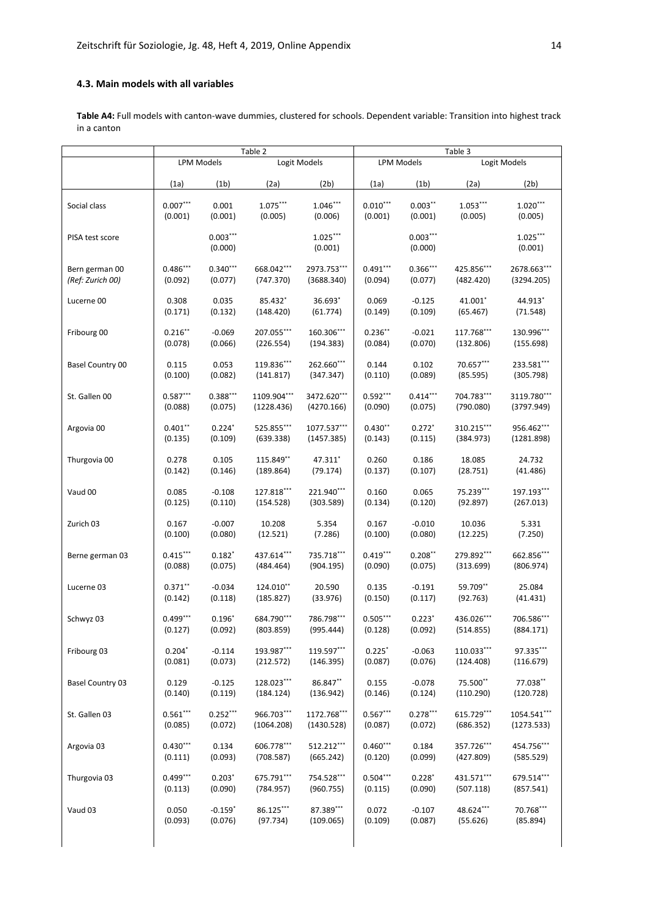## **4.3. Main models with all variables**

**Table A4:** Full models with canton-wave dummies, clustered for schools. Dependent variable: Transition into highest track in a canton

|                  |            |                       | Table 2     |                       | Table 3    |                       |            |                       |  |
|------------------|------------|-----------------------|-------------|-----------------------|------------|-----------------------|------------|-----------------------|--|
|                  |            | <b>LPM Models</b>     |             | Logit Models          |            | <b>LPM Models</b>     |            | Logit Models          |  |
|                  | (1a)       | (1 <sub>b</sub> )     | (2a)        | (2b)                  | (1a)       | (1b)                  | (2a)       | (2b)                  |  |
| Social class     | $0.007***$ | 0.001                 | $1.075***$  | $1.046***$            | $0.010***$ | $0.003***$            | $1.053***$ | $1.020***$            |  |
|                  | (0.001)    | (0.001)               | (0.005)     | (0.006)               | (0.001)    | (0.001)               | (0.005)    | (0.005)               |  |
| PISA test score  |            | $0.003***$<br>(0.000) |             | $1.025***$<br>(0.001) |            | $0.003***$<br>(0.000) |            | $1.025***$<br>(0.001) |  |
| Bern german 00   | $0.486***$ | $0.340***$            | 668.042***  | 2973.753***           | $0.491***$ | $0.366***$            | 425.856*** | 2678.663***           |  |
| (Ref: Zurich 00) | (0.092)    | (0.077)               | (747.370)   | (3688.340)            | (0.094)    | (0.077)               | (482.420)  | (3294.205)            |  |
| Lucerne 00       | 0.308      | 0.035                 | 85.432*     | 36.693*               | 0.069      | $-0.125$              | $41.001*$  | 44.913*               |  |
|                  | (0.171)    | (0.132)               | (148.420)   | (61.774)              | (0.149)    | (0.109)               | (65.467)   | (71.548)              |  |
| Fribourg 00      | $0.216***$ | $-0.069$              | 207.055***  | 160.306***            | $0.236**$  | $-0.021$              | 117.768*** | 130.996***            |  |
|                  | (0.078)    | (0.066)               | (226.554)   | (194.383)             | (0.084)    | (0.070)               | (132.806)  | (155.698)             |  |
| Basel Country 00 | 0.115      | 0.053                 | 119.836***  | 262.660***            | 0.144      | 0.102                 | 70.657***  | 233.581***            |  |
|                  | (0.100)    | (0.082)               | (141.817)   | (347.347)             | (0.110)    | (0.089)               | (85.595)   | (305.798)             |  |
| St. Gallen 00    | $0.587***$ | $0.388***$            | 1109.904*** | 3472.620***           | $0.592***$ | $0.414***$            | 704.783*** | 3119.780***           |  |
|                  | (0.088)    | (0.075)               | (1228.436)  | (4270.166)            | (0.090)    | (0.075)               | (790.080)  | (3797.949)            |  |
| Argovia 00       | $0.401**$  | $0.224*$              | 525.855***  | 1077.537***           | $0.430**$  | $0.272*$              | 310.215*** | 956.462***            |  |
|                  | (0.135)    | (0.109)               | (639.338)   | (1457.385)            | (0.143)    | (0.115)               | (384.973)  | (1281.898)            |  |
| Thurgovia 00     | 0.278      | 0.105                 | 115.849**   | 47.311*               | 0.260      | 0.186                 | 18.085     | 24.732                |  |
|                  | (0.142)    | (0.146)               | (189.864)   | (79.174)              | (0.137)    | (0.107)               | (28.751)   | (41.486)              |  |
| Vaud 00          | 0.085      | $-0.108$              | 127.818***  | 221.940***            | 0.160      | 0.065                 | 75.239***  | 197.193***            |  |
|                  | (0.125)    | (0.110)               | (154.528)   | (303.589)             | (0.134)    | (0.120)               | (92.897)   | (267.013)             |  |
| Zurich 03        | 0.167      | $-0.007$              | 10.208      | 5.354                 | 0.167      | $-0.010$              | 10.036     | 5.331                 |  |
|                  | (0.100)    | (0.080)               | (12.521)    | (7.286)               | (0.100)    | (0.080)               | (12.225)   | (7.250)               |  |
| Berne german 03  | $0.415***$ | $0.182*$              | 437.614***  | 735.718***            | $0.419***$ | $0.208***$            | 279.892*** | 662.856***            |  |
|                  | (0.088)    | (0.075)               | (484.464)   | (904.195)             | (0.090)    | (0.075)               | (313.699)  | (806.974)             |  |
| Lucerne 03       | $0.371***$ | $-0.034$              | 124.010**   | 20.590                | 0.135      | $-0.191$              | 59.709**   | 25.084                |  |
|                  | (0.142)    | (0.118)               | (185.827)   | (33.976)              | (0.150)    | (0.117)               | (92.763)   | (41.431)              |  |
| Schwyz 03        | $0.499***$ | $0.196*$              | 684.790***  | 786.798***            | $0.505***$ | $0.223*$              | 436.026*** | 706.586***            |  |
|                  | (0.127)    | (0.092)               | (803.859)   | (995.444)             | (0.128)    | (0.092)               | (514.855)  | (884.171)             |  |
| Fribourg 03      | $0.204*$   | $-0.114$              | 193.987***  | 119.597***            | $0.225$ *  | $-0.063$              | 110.033*** | 97.335***             |  |
|                  | (0.081)    | (0.073)               | (212.572)   | (146.395)             | (0.087)    | (0.076)               | (124.408)  | (116.679)             |  |
| Basel Country 03 | 0.129      | $-0.125$              | 128.023***  | 86.847**              | 0.155      | $-0.078$              | 75.500**   | 77.038**              |  |
|                  | (0.140)    | (0.119)               | (184.124)   | (136.942)             | (0.146)    | (0.124)               | (110.290)  | (120.728)             |  |
| St. Gallen 03    | $0.561***$ | $0.252***$            | 966.703***  | 1172.768***           | $0.567***$ | $0.278***$            | 615.729*** | 1054.541***           |  |
|                  | (0.085)    | (0.072)               | (1064.208)  | (1430.528)            | (0.087)    | (0.072)               | (686.352)  | (1273.533)            |  |
| Argovia 03       | $0.430***$ | 0.134                 | 606.778***  | 512.212***            | $0.460***$ | 0.184                 | 357.726*** | 454.756***            |  |
|                  | (0.111)    | (0.093)               | (708.587)   | (665.242)             | (0.120)    | (0.099)               | (427.809)  | (585.529)             |  |
| Thurgovia 03     | $0.499***$ | $0.203*$              | 675.791***  | 754.528***            | $0.504***$ | $0.228*$              | 431.571*** | 679.514***            |  |
|                  | (0.113)    | (0.090)               | (784.957)   | (960.755)             | (0.115)    | (0.090)               | (507.118)  | (857.541)             |  |
| Vaud 03          | 0.050      | $-0.159*$             | 86.125***   | 87.389***             | 0.072      | $-0.107$              | 48.624***  | 70.768***             |  |
|                  | (0.093)    | (0.076)               | (97.734)    | (109.065)             | (0.109)    | (0.087)               | (55.626)   | (85.894)              |  |
|                  |            |                       |             |                       |            |                       |            |                       |  |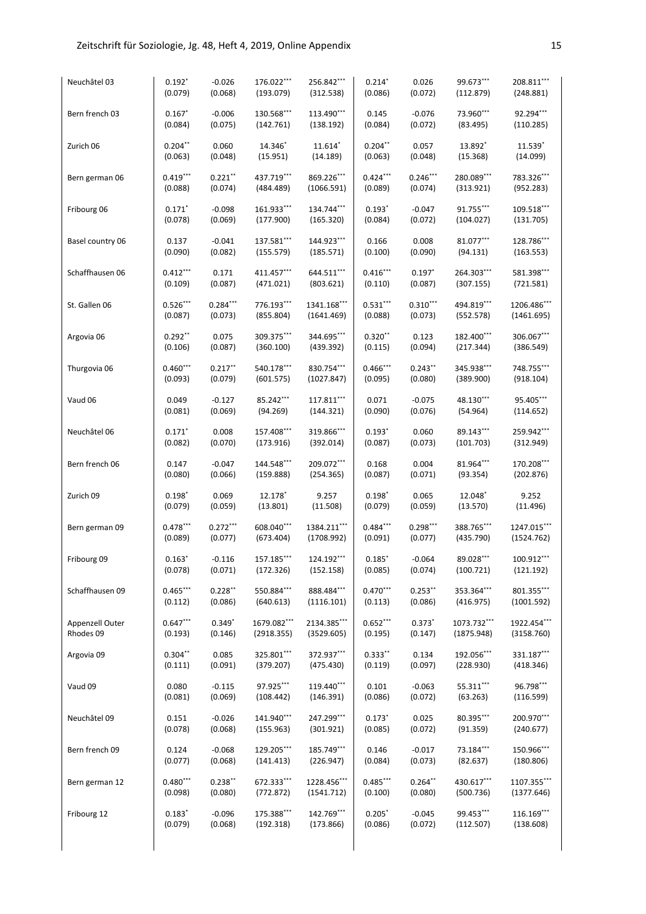| Neuchâtel 03     | $0.192*$             | $-0.026$   | 176.022***  | 256.842***  | $0.214*$         | 0.026      | 99.673***   | 208.811***  |
|------------------|----------------------|------------|-------------|-------------|------------------|------------|-------------|-------------|
|                  | (0.079)              | (0.068)    | (193.079)   | (312.538)   | (0.086)          | (0.072)    | (112.879)   | (248.881)   |
|                  |                      | $-0.006$   | 130.568***  | 113.490***  |                  | $-0.076$   | 73.960***   | 92.294***   |
| Bern french 03   | $0.167*$<br>(0.084)  | (0.075)    | (142.761)   | (138.192)   | 0.145<br>(0.084) | (0.072)    | (83.495)    | (110.285)   |
|                  |                      |            |             |             |                  |            |             |             |
| Zurich 06        | $0.204***$           | 0.060      | 14.346*     | 11.614*     | $0.204**$        | 0.057      | 13.892*     | 11.539      |
|                  | (0.063)              | (0.048)    | (15.951)    | (14.189)    | (0.063)          | (0.048)    | (15.368)    | (14.099)    |
| Bern german 06   | $0.419***$           | $0.221**$  | 437.719***  | 869.226***  | $0.424***$       | $0.246***$ | 280.089***  | 783.326***  |
|                  | (0.088)              | (0.074)    | (484.489)   | (1066.591)  | (0.089)          | (0.074)    | (313.921)   | (952.283)   |
|                  |                      |            |             |             |                  |            |             |             |
| Fribourg 06      | $0.171$ <sup>*</sup> | $-0.098$   | 161.933***  | 134.744***  | $0.193*$         | $-0.047$   | 91.755***   | 109.518***  |
|                  | (0.078)              | (0.069)    | (177.900)   | (165.320)   | (0.084)          | (0.072)    | (104.027)   | (131.705)   |
| Basel country 06 | 0.137                | $-0.041$   | 137.581***  | 144.923***  | 0.166            | 0.008      | 81.077***   | 128.786***  |
|                  | (0.090)              | (0.082)    | (155.579)   | (185.571)   | (0.100)          | (0.090)    | (94.131)    | (163.553)   |
|                  |                      |            |             |             |                  |            |             |             |
| Schaffhausen 06  | $0.412***$           | 0.171      | 411.457***  | 644.511***  | $0.416***$       | $0.197*$   | 264.303***  | 581.398***  |
|                  | (0.109)              | (0.087)    | (471.021)   | (803.621)   | (0.110)          | (0.087)    | (307.155)   | (721.581)   |
| St. Gallen 06    | $0.526***$           | $0.284***$ | 776.193***  | 1341.168*** | $0.531***$       | $0.310***$ | 494.819***  | 1206.486*** |
|                  | (0.087)              | (0.073)    | (855.804)   | (1641.469)  | (0.088)          | (0.073)    | (552.578)   | (1461.695)  |
|                  |                      |            |             |             |                  |            |             |             |
| Argovia 06       | $0.292**$            | 0.075      | 309.375***  | 344.695***  | $0.320**$        | 0.123      | 182.400***  | 306.067***  |
|                  | (0.106)              | (0.087)    | (360.100)   | (439.392)   | (0.115)          | (0.094)    | (217.344)   | (386.549)   |
| Thurgovia 06     | $0.460***$           | $0.217***$ | 540.178***  | 830.754***  | $0.466***$       | $0.243***$ | 345.938***  | 748.755***  |
|                  | (0.093)              | (0.079)    | (601.575)   | (1027.847)  | (0.095)          | (0.080)    | (389.900)   | (918.104)   |
|                  |                      |            |             |             |                  |            |             |             |
| Vaud 06          | 0.049                | $-0.127$   | 85.242***   | 117.811***  | 0.071            | $-0.075$   | 48.130***   | 95.405***   |
|                  | (0.081)              | (0.069)    | (94.269)    | (144.321)   | (0.090)          | (0.076)    | (54.964)    | (114.652)   |
| Neuchâtel 06     | $0.171$ <sup>*</sup> | 0.008      | 157.408***  | 319.866***  | $0.193*$         | 0.060      | 89.143***   | 259.942***  |
|                  | (0.082)              | (0.070)    | (173.916)   | (392.014)   | (0.087)          | (0.073)    | (101.703)   | (312.949)   |
|                  |                      |            |             |             |                  |            |             |             |
| Bern french 06   | 0.147                | $-0.047$   | 144.548***  | 209.072***  | 0.168            | 0.004      | 81.964***   | 170.208***  |
|                  | (0.080)              | (0.066)    | (159.888)   | (254.365)   | (0.087)          | (0.071)    | (93.354)    | (202.876)   |
| Zurich 09        | $0.198*$             | 0.069      | 12.178      | 9.257       | $0.198*$         | 0.065      | 12.048      | 9.252       |
|                  | (0.079)              | (0.059)    | (13.801)    | (11.508)    | (0.079)          | (0.059)    | (13.570)    | (11.496)    |
|                  |                      |            |             |             |                  |            |             |             |
| Bern german 09   | $0.478***$           | $0.272***$ | 608.040***  | 1384.211*** | $0.484***$       | $0.298***$ | 388.765***  | 1247.015*** |
|                  | (0.089)              | (0.077)    | (673.404)   | (1708.992)  | (0.091)          | (0.077)    | (435.790)   | (1524.762)  |
| Fribourg 09      | $0.163*$             | $-0.116$   | 157.185***  | 124.192***  | $0.185*$         | $-0.064$   | 89.028***   | 100.912***  |
|                  | (0.078)              | (0.071)    | (172.326)   | (152.158)   | (0.085)          | (0.074)    | (100.721)   | (121.192)   |
|                  |                      |            |             |             |                  |            |             |             |
| Schaffhausen 09  | $0.465***$           | $0.228**$  | 550.884***  | 888.484***  | $0.470***$       | $0.253***$ | 353.364***  | 801.355***  |
|                  | (0.112)              | (0.086)    | (640.613)   | (1116.101)  | (0.113)          | (0.086)    | (416.975)   | (1001.592)  |
| Appenzell Outer  | $0.647***$           | $0.349*$   | 1679.082*** | 2134.385*** | $0.652***$       | $0.373*$   | 1073.732*** | 1922.454*** |
| Rhodes 09        | (0.193)              | (0.146)    | (2918.355)  | (3529.605)  | (0.195)          | (0.147)    | (1875.948)  | (3158.760)  |
|                  |                      |            |             |             |                  |            |             |             |
| Argovia 09       | $0.304**$            | 0.085      | 325.801***  | 372.937***  | $0.333**$        | 0.134      | 192.056***  | 331.187***  |
|                  | (0.111)              | (0.091)    | (379.207)   | (475.430)   | (0.119)          | (0.097)    | (228.930)   | (418.346)   |
| Vaud 09          | 0.080                | $-0.115$   | 97.925***   | 119.440***  | 0.101            | $-0.063$   | 55.311***   | 96.798***   |
|                  | (0.081)              | (0.069)    | (108.442)   | (146.391)   | (0.086)          | (0.072)    | (63.263)    | (116.599)   |
|                  |                      |            |             |             |                  |            |             |             |
| Neuchâtel 09     | 0.151                | $-0.026$   | 141.940***  | 247.299***  | $0.173*$         | 0.025      | 80.395***   | 200.970***  |
|                  | (0.078)              | (0.068)    | (155.963)   | (301.921)   | (0.085)          | (0.072)    | (91.359)    | (240.677)   |
| Bern french 09   | 0.124                | $-0.068$   | 129.205***  | 185.749***  | 0.146            | $-0.017$   | 73.184***   | 150.966***  |
|                  | (0.077)              | (0.068)    | (141.413)   | (226.947)   | (0.084)          | (0.073)    | (82.637)    | (180.806)   |
|                  |                      |            |             |             |                  |            |             |             |
| Bern german 12   | $0.480***$           | $0.238***$ | 672.333***  | 1228.456*** | $0.485***$       | $0.264***$ | 430.617***  | 1107.355*** |
|                  | (0.098)              | (0.080)    | (772.872)   | (1541.712)  | (0.100)          | (0.080)    | (500.736)   | (1377.646)  |
| Fribourg 12      | $0.183*$             | $-0.096$   | 175.388***  | 142.769***  | $0.205*$         | $-0.045$   | 99.453***   | 116.169***  |
|                  | (0.079)              | (0.068)    | (192.318)   | (173.866)   | (0.086)          | (0.072)    | (112.507)   | (138.608)   |
|                  |                      |            |             |             |                  |            |             |             |
|                  |                      |            |             |             |                  |            |             |             |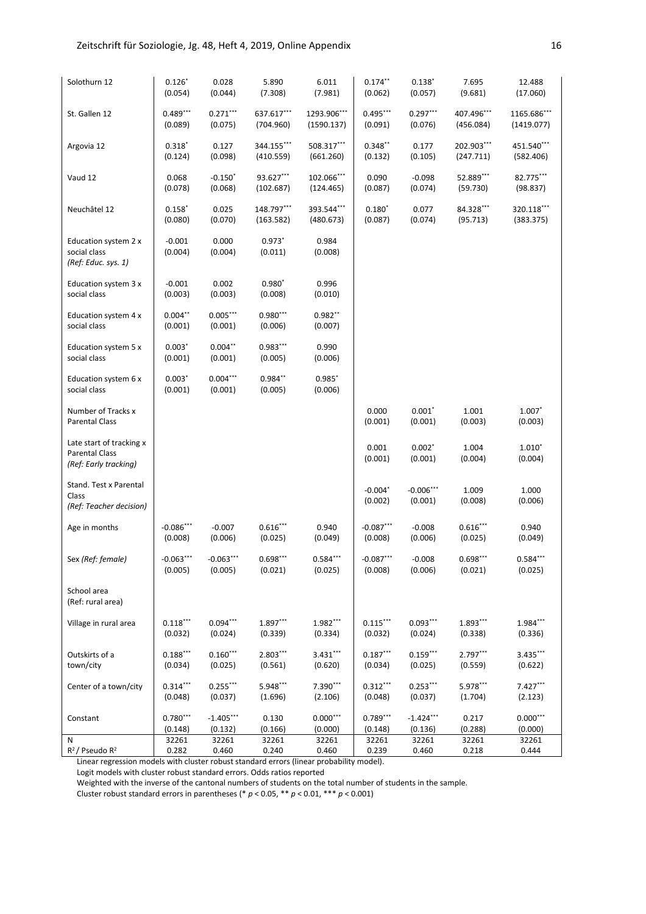| Solothurn 12                                                               | $0.126*$             | 0.028                 | 5.890                 | 6.011                | $0.174***$           | $0.138*$               | 7.695            | 12.488              |
|----------------------------------------------------------------------------|----------------------|-----------------------|-----------------------|----------------------|----------------------|------------------------|------------------|---------------------|
|                                                                            | (0.054)              | (0.044)               | (7.308)               | (7.981)              | (0.062)              | (0.057)                | (9.681)          | (17.060)            |
| St. Gallen 12                                                              | $0.489***$           | $0.271***$            | 637.617***            | 1293.906***          | $0.495***$           | $0.297***$             | 407.496***       | 1165.686***         |
|                                                                            | (0.089)              | (0.075)               | (704.960)             | (1590.137)           | (0.091)              | (0.076)                | (456.084)        | (1419.077)          |
| Argovia 12                                                                 | $0.318*$             | 0.127                 | 344.155***            | 508.317***           | $0.348***$           | 0.177                  | 202.903***       | 451.540***          |
|                                                                            | (0.124)              | (0.098)               | (410.559)             | (661.260)            | (0.132)              | (0.105)                | (247.711)        | (582.406)           |
| Vaud 12                                                                    | 0.068                | $-0.150*$             | 93.627***             | $102.066***$         | 0.090                | $-0.098$               | 52.889***        | 82.775***           |
|                                                                            | (0.078)              | (0.068)               | (102.687)             | (124.465)            | (0.087)              | (0.074)                | (59.730)         | (98.837)            |
| Neuchâtel 12                                                               | $0.158*$             | 0.025                 | 148.797***            | 393.544***           | $0.180*$             | 0.077                  | 84.328***        | 320.118***          |
|                                                                            | (0.080)              | (0.070)               | (163.582)             | (480.673)            | (0.087)              | (0.074)                | (95.713)         | (383.375)           |
| Education system 2 x<br>social class<br>(Ref: Educ. sys. 1)                | $-0.001$<br>(0.004)  | 0.000<br>(0.004)      | $0.973*$<br>(0.011)   | 0.984<br>(0.008)     |                      |                        |                  |                     |
| Education system 3 x<br>social class                                       | $-0.001$<br>(0.003)  | 0.002<br>(0.003)      | $0.980*$<br>(0.008)   | 0.996<br>(0.010)     |                      |                        |                  |                     |
| Education system 4 x<br>social class                                       | $0.004**$<br>(0.001) | $0.005***$<br>(0.001) | $0.980***$<br>(0.006) | $0.982**$<br>(0.007) |                      |                        |                  |                     |
| Education system 5 x<br>social class                                       | $0.003*$<br>(0.001)  | $0.004**$<br>(0.001)  | $0.983***$<br>(0.005) | 0.990<br>(0.006)     |                      |                        |                  |                     |
| Education system 6 x<br>social class                                       | $0.003*$<br>(0.001)  | $0.004***$<br>(0.001) | $0.984**$<br>(0.005)  | $0.985*$<br>(0.006)  |                      |                        |                  |                     |
| Number of Tracks x<br><b>Parental Class</b>                                |                      |                       |                       |                      | 0.000<br>(0.001)     | $0.001*$<br>(0.001)    | 1.001<br>(0.003) | $1.007*$<br>(0.003) |
| Late start of tracking x<br><b>Parental Class</b><br>(Ref: Early tracking) |                      |                       |                       |                      | 0.001<br>(0.001)     | $0.002*$<br>(0.001)    | 1.004<br>(0.004) | $1.010*$<br>(0.004) |
| Stand. Test x Parental<br>Class<br>(Ref: Teacher decision)                 |                      |                       |                       |                      | $-0.004*$<br>(0.002) | $-0.006***$<br>(0.001) | 1.009<br>(0.008) | 1.000<br>(0.006)    |
| Age in months                                                              | $-0.086***$          | $-0.007$              | $0.616***$            | 0.940                | $-0.087***$          | $-0.008$               | $0.616***$       | 0.940               |
|                                                                            | (0.008)              | (0.006)               | (0.025)               | (0.049)              | (0.008)              | (0.006)                | (0.025)          | (0.049)             |
| Sex (Ref: female)                                                          | $-0.063***$          | $-0.063***$           | $0.698***$            | $0.584***$           | $-0.087***$          | $-0.008$               | $0.698***$       | $0.584***$          |
|                                                                            | (0.005)              | (0.005)               | (0.021)               | (0.025)              | (0.008)              | (0.006)                | (0.021)          | (0.025)             |
| School area<br>(Ref: rural area)                                           |                      |                       |                       |                      |                      |                        |                  |                     |
| Village in rural area                                                      | $0.118***$           | $0.094***$            | 1.897***              | 1.982***             | $0.115***$           | $0.093***$             | 1.893***         | $1.984***$          |
|                                                                            | (0.032)              | (0.024)               | (0.339)               | (0.334)              | (0.032)              | (0.024)                | (0.338)          | (0.336)             |
| Outskirts of a                                                             | $0.188***$           | $0.160***$            | $2.803***$            | $3.431***$           | $0.187***$           | $0.159***$             | 2.797***         | 3.435***            |
| town/city                                                                  | (0.034)              | (0.025)               | (0.561)               | (0.620)              | (0.034)              | (0.025)                | (0.559)          | (0.622)             |
| Center of a town/city                                                      | $0.314***$           | $0.255***$            | 5.948***              | 7.390***             | $0.312***$           | $0.253***$             | 5.978***         | $7.427***$          |
|                                                                            | (0.048)              | (0.037)               | (1.696)               | (2.106)              | (0.048)              | (0.037)                | (1.704)          | (2.123)             |
| Constant                                                                   | $0.780***$           | $-1.405***$           | 0.130                 | $0.000***$           | $0.789***$           | $-1.424***$            | 0.217            | $0.000***$          |
|                                                                            | (0.148)              | (0.132)               | (0.166)               | (0.000)              | (0.148)              | (0.136)                | (0.288)          | (0.000)             |
|                                                                            | 32261                | 32261                 | 32261                 | 32261                | 32261                | 32261                  | 32261            | 32261               |

Linear regression models with cluster robust standard errors (linear probability model).

Logit models with cluster robust standard errors. Odds ratios reported

Weighted with the inverse of the cantonal numbers of students on the total number of students in the sample.

Cluster robust standard errors in parentheses (\* *p* < 0.05, \*\* *p* < 0.01, \*\*\* *p* < 0.001)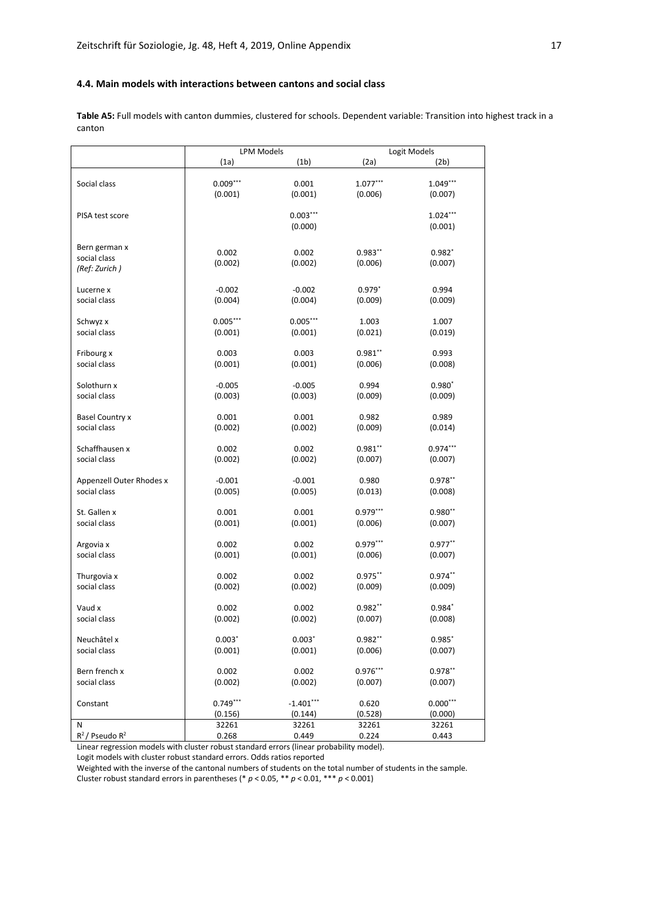## **4.4. Main models with interactions between cantons and social class**

**Table A5:** Full models with canton dummies, clustered for schools. Dependent variable: Transition into highest track in a canton

|                             | <b>LPM Models</b>     |                        | Logit Models     |                       |
|-----------------------------|-----------------------|------------------------|------------------|-----------------------|
|                             | (1a)                  | (1 <sub>b</sub> )      | (2a)             | (2b)                  |
|                             |                       |                        |                  |                       |
| Social class                | $0.009***$            | 0.001                  | $1.077***$       | $1.049***$            |
|                             | (0.001)               | (0.001)                | (0.006)          | (0.007)               |
|                             |                       |                        |                  |                       |
| PISA test score             |                       | $0.003***$             |                  | $1.024***$            |
|                             |                       | (0.000)                |                  | (0.001)               |
|                             |                       |                        |                  |                       |
| Bern german x               | 0.002                 | 0.002                  | $0.983**$        | $0.982*$              |
| social class                | (0.002)               | (0.002)                | (0.006)          | (0.007)               |
| (Ref: Zurich)               |                       |                        |                  |                       |
| Lucerne x                   | $-0.002$              | $-0.002$               | $0.979*$         | 0.994                 |
| social class                | (0.004)               | (0.004)                | (0.009)          | (0.009)               |
|                             |                       |                        |                  |                       |
| Schwyz x                    | $0.005***$            | $0.005***$             | 1.003            | 1.007                 |
| social class                | (0.001)               | (0.001)                | (0.021)          | (0.019)               |
|                             |                       |                        |                  |                       |
| Fribourg x                  | 0.003                 | 0.003                  | $0.981***$       | 0.993                 |
| social class                | (0.001)               | (0.001)                | (0.006)          | (0.008)               |
|                             |                       |                        |                  |                       |
| Solothurn x                 | $-0.005$              | $-0.005$               | 0.994            | $0.980*$              |
| social class                | (0.003)               | (0.003)                | (0.009)          | (0.009)               |
|                             |                       |                        |                  |                       |
| Basel Country x             | 0.001                 | 0.001                  | 0.982            | 0.989                 |
| social class                | (0.002)               | (0.002)                | (0.009)          | (0.014)               |
| Schaffhausen x              | 0.002                 | 0.002                  | $0.981**$        | $0.974***$            |
| social class                | (0.002)               | (0.002)                | (0.007)          | (0.007)               |
|                             |                       |                        |                  |                       |
| Appenzell Outer Rhodes x    | $-0.001$              | $-0.001$               | 0.980            | $0.978**$             |
| social class                | (0.005)               | (0.005)                | (0.013)          | (0.008)               |
|                             |                       |                        |                  |                       |
| St. Gallen x                | 0.001                 | 0.001                  | $0.979***$       | $0.980**$             |
| social class                | (0.001)               | (0.001)                | (0.006)          | (0.007)               |
|                             |                       |                        |                  |                       |
| Argovia x                   | 0.002                 | 0.002                  | $0.979***$       | $0.977**$             |
| social class                | (0.001)               | (0.001)                | (0.006)          | (0.007)               |
|                             | 0.002                 | 0.002                  | $0.975***$       | $0.974**$             |
| Thurgovia x<br>social class | (0.002)               | (0.002)                | (0.009)          | (0.009)               |
|                             |                       |                        |                  |                       |
| Vaud x                      | 0.002                 | 0.002                  | $0.982**$        | $0.984*$              |
| social class                | (0.002)               | (0.002)                | (0.007)          | (0.008)               |
|                             |                       |                        |                  |                       |
| Neuchâtel x                 | $0.003*$              | $0.003*$               | $0.982**$        | $0.985*$              |
| social class                | (0.001)               | (0.001)                | (0.006)          | (0.007)               |
|                             |                       |                        |                  |                       |
| Bern french x               | 0.002                 | 0.002                  | $0.976***$       | $0.978^{**}$          |
| social class                | (0.002)               | (0.002)                | (0.007)          | (0.007)               |
|                             |                       |                        |                  |                       |
| Constant                    | $0.749***$<br>(0.156) | $-1.401***$<br>(0.144) | 0.620<br>(0.528) | $0.000***$<br>(0.000) |
| Ν                           | 32261                 | 32261                  | 32261            | 32261                 |
| $R^2$ / Pseudo $R^2$        | 0.268                 | 0.449                  | 0.224            | 0.443                 |
|                             |                       |                        |                  |                       |

Linear regression models with cluster robust standard errors (linear probability model).

Logit models with cluster robust standard errors. Odds ratios reported

Weighted with the inverse of the cantonal numbers of students on the total number of students in the sample.

Cluster robust standard errors in parentheses (\* *p* < 0.05, \*\* *p* < 0.01, \*\*\* *p* < 0.001)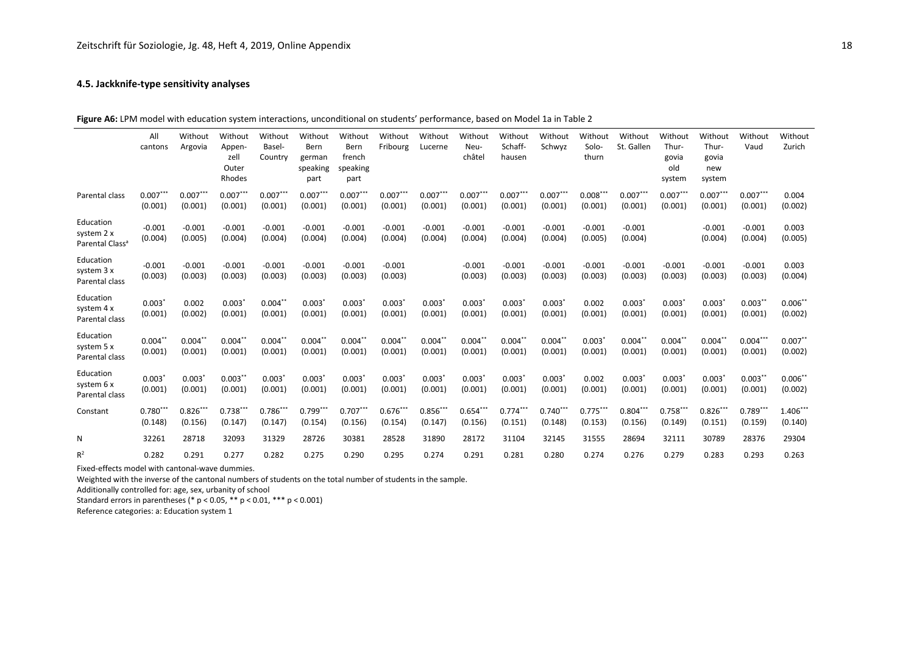## **4.5. Jackknife-type sensitivity analyses**

**Figure A6:** LPM model with education system interactions, unconditional on students' performance, based on Model 1a in Table 2

|                                                        | All<br>cantons                  | Without<br>Argovia    | Without<br>Appen-<br>zell<br>Outer<br>Rhodes | Without<br>Basel-<br>Country | Without<br>Bern<br>german<br>speaking<br>part | Without<br>Bern<br>french<br>speaking<br>part | Without<br>Fribourg   | Without<br>Lucerne    | Without<br>Neu-<br>châtel | Without<br>Schaff-<br>hausen | Without<br>Schwyz     | Without<br>Solo-<br>thurn | Without<br>St. Gallen | Without<br>Thur-<br>govia<br>old<br>system | Without<br>Thur-<br>govia<br>new<br>system | Without<br>Vaud       | Without<br>Zurich     |
|--------------------------------------------------------|---------------------------------|-----------------------|----------------------------------------------|------------------------------|-----------------------------------------------|-----------------------------------------------|-----------------------|-----------------------|---------------------------|------------------------------|-----------------------|---------------------------|-----------------------|--------------------------------------------|--------------------------------------------|-----------------------|-----------------------|
| Parental class                                         | $0.007***$<br>(0.001)           | $0.007***$<br>(0.001) | $0.007***$<br>(0.001)                        | $0.007***$<br>(0.001)        | $0.007***$<br>(0.001)                         | $0.007***$<br>(0.001)                         | $0.007***$<br>(0.001) | $0.007***$<br>(0.001) | $0.007***$<br>(0.001)     | $0.007***$<br>(0.001)        | $0.007***$<br>(0.001) | $0.008***$<br>(0.001)     | $0.007***$<br>(0.001) | $0.007***$<br>(0.001)                      | $0.007***$<br>(0.001)                      | $0.007***$<br>(0.001) | 0.004<br>(0.002)      |
| Education<br>system 2 x<br>Parental Class <sup>a</sup> | $-0.001$<br>(0.004)             | $-0.001$<br>(0.005)   | $-0.001$<br>(0.004)                          | $-0.001$<br>(0.004)          | $-0.001$<br>(0.004)                           | $-0.001$<br>(0.004)                           | $-0.001$<br>(0.004)   | $-0.001$<br>(0.004)   | $-0.001$<br>(0.004)       | $-0.001$<br>(0.004)          | $-0.001$<br>(0.004)   | $-0.001$<br>(0.005)       | $-0.001$<br>(0.004)   |                                            | $-0.001$<br>(0.004)                        | $-0.001$<br>(0.004)   | 0.003<br>(0.005)      |
| Education<br>system 3 x<br>Parental class              | $-0.001$<br>(0.003)             | $-0.001$<br>(0.003)   | $-0.001$<br>(0.003)                          | $-0.001$<br>(0.003)          | $-0.001$<br>(0.003)                           | $-0.001$<br>(0.003)                           | $-0.001$<br>(0.003)   |                       | $-0.001$<br>(0.003)       | $-0.001$<br>(0.003)          | $-0.001$<br>(0.003)   | $-0.001$<br>(0.003)       | $-0.001$<br>(0.003)   | $-0.001$<br>(0.003)                        | $-0.001$<br>(0.003)                        | $-0.001$<br>(0.003)   | 0.003<br>(0.004)      |
| Education<br>system 4 x<br>Parental class              | 0.003<br>(0.001)                | 0.002<br>(0.002)      | $0.003*$<br>(0.001)                          | $0.004***$<br>(0.001)        | $0.003*$<br>(0.001)                           | 0.003'<br>(0.001)                             | 0.003'<br>(0.001)     | 0.003'<br>(0.001)     | 0.003'<br>(0.001)         | 0.003'<br>(0.001)            | 0.003'<br>(0.001)     | 0.002<br>(0.001)          | 0.003'<br>(0.001)     | 0.003'<br>(0.001)                          | 0.003<br>(0.001)                           | $0.003***$<br>(0.001) | $0.006**$<br>(0.002)  |
| Education<br>system 5 x<br>Parental class              | $0.004$ *'<br>(0.001)           | $0.004**$<br>(0.001)  | $0.004$ **<br>(0.001)                        | $0.004*$<br>(0.001)          | $0.004$ **<br>(0.001)                         | $0.004***$<br>(0.001)                         | $0.004$ *'<br>(0.001) | $0.004$ *<br>(0.001)  | $0.004**$<br>(0.001)      | $0.004***$<br>(0.001)        | $0.004**$<br>(0.001)  | 0.003<br>(0.001)          | $0.004$ *<br>(0.001)  | $0.004**$<br>(0.001)                       | $0.004***$<br>(0.001)                      | $0.004***$<br>(0.001) | $0.007**$<br>(0.002)  |
| Education<br>system 6 x<br>Parental class              | $0.003$ <sup>*</sup><br>(0.001) | 0.003'<br>(0.001)     | $0.003**$<br>(0.001)                         | $0.003*$<br>(0.001)          | $0.003*$<br>(0.001)                           | 0.003'<br>(0.001)                             | 0.003'<br>(0.001)     | 0.003'<br>(0.001)     | 0.003'<br>(0.001)         | 0.003'<br>(0.001)            | 0.003'<br>(0.001)     | 0.002<br>(0.001)          | 0.003'<br>(0.001)     | 0.003'<br>(0.001)                          | 0.003<br>(0.001)                           | $0.003***$<br>(0.001) | $0.006**$<br>(0.002)  |
| Constant                                               | $0.780***$<br>(0.148)           | $0.826***$<br>(0.156) | $0.738***$<br>(0.147)                        | $0.786***$<br>(0.147)        | $0.799***$<br>(0.154)                         | $0.707***$<br>(0.156)                         | $0.676***$<br>(0.154) | $0.856***$<br>(0.147) | $0.654***$<br>(0.156)     | $0.774***$<br>(0.151)        | $0.740***$<br>(0.148) | $0.775***$<br>(0.153)     | $0.804***$<br>(0.156) | $0.758***$<br>(0.149)                      | $0.826***$<br>(0.151)                      | $0.789***$<br>(0.159) | $1.406***$<br>(0.140) |
| N                                                      | 32261                           | 28718                 | 32093                                        | 31329                        | 28726                                         | 30381                                         | 28528                 | 31890                 | 28172                     | 31104                        | 32145                 | 31555                     | 28694                 | 32111                                      | 30789                                      | 28376                 | 29304                 |
| $R^2$                                                  | 0.282                           | 0.291                 | 0.277                                        | 0.282                        | 0.275                                         | 0.290                                         | 0.295                 | 0.274                 | 0.291                     | 0.281                        | 0.280                 | 0.274                     | 0.276                 | 0.279                                      | 0.283                                      | 0.293                 | 0.263                 |

Fixed-effects model with cantonal-wave dummies.

Weighted with the inverse of the cantonal numbers of students on the total number of students in the sample.

Additionally controlled for: age, sex, urbanity of school

Standard errors in parentheses (\* p < 0.05, \*\* p < 0.01, \*\*\* p < 0.001)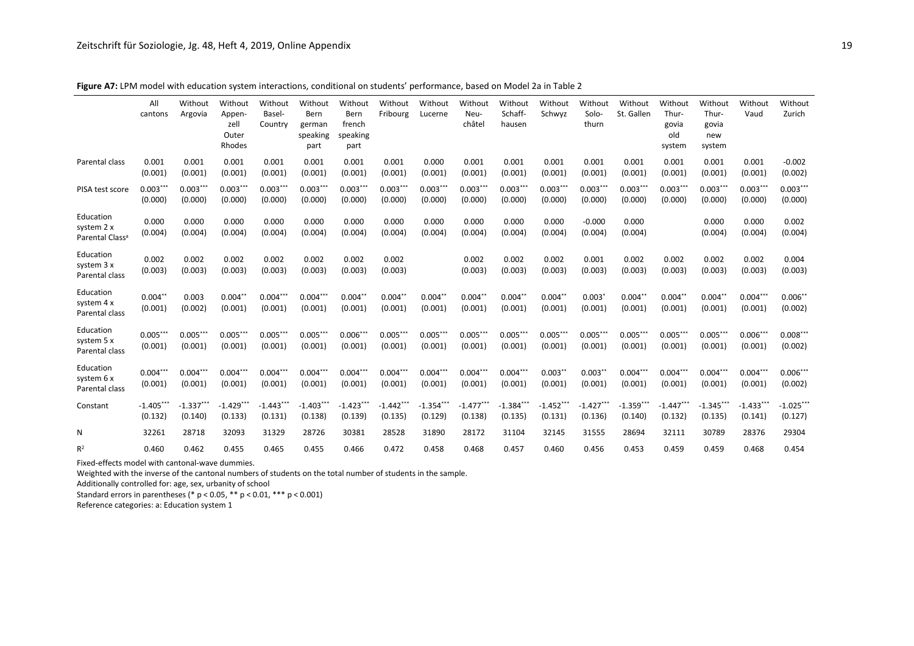|                                                        | All<br>cantons         | Without<br>Argovia     | Without<br>Appen-<br>zell<br>Outer<br>Rhodes | Without<br>Basel-<br>Country | Without<br>Bern<br>german<br>speaking<br>part | Without<br><b>Bern</b><br>french<br>speaking<br>part | Without<br>Fribourg    | Without<br>Lucerne     | Without<br>Neu-<br>châtel | Without<br>Schaff-<br>hausen | Without<br>Schwyz      | Without<br>Solo-<br>thurn | Without<br>St. Gallen  | Without<br>Thur-<br>govia<br>old<br>system | Without<br>Thur-<br>govia<br>new<br>system | Without<br>Vaud        | Without<br>Zurich      |
|--------------------------------------------------------|------------------------|------------------------|----------------------------------------------|------------------------------|-----------------------------------------------|------------------------------------------------------|------------------------|------------------------|---------------------------|------------------------------|------------------------|---------------------------|------------------------|--------------------------------------------|--------------------------------------------|------------------------|------------------------|
| Parental class                                         | 0.001<br>(0.001)       | 0.001<br>(0.001)       | 0.001<br>(0.001)                             | 0.001<br>(0.001)             | 0.001<br>(0.001)                              | 0.001<br>(0.001)                                     | 0.001<br>(0.001)       | 0.000<br>(0.001)       | 0.001<br>(0.001)          | 0.001<br>(0.001)             | 0.001<br>(0.001)       | 0.001<br>(0.001)          | 0.001<br>(0.001)       | 0.001<br>(0.001)                           | 0.001<br>(0.001)                           | 0.001<br>(0.001)       | $-0.002$<br>(0.002)    |
| PISA test score                                        | $0.003**$<br>(0.000)   | $0.003***$<br>(0.000)  | $0.003***$<br>(0.000)                        | $0.003***$<br>(0.000)        | $0.003***$<br>(0.000)                         | $0.003***$<br>(0.000)                                | $0.003***$<br>(0.000)  | $0.003***$<br>(0.000)  | $0.003***$<br>(0.000)     | $0.003***$<br>(0.000)        | $0.003***$<br>(0.000)  | $0.003***$<br>(0.000)     | $0.003***$<br>(0.000)  | $0.003***$<br>(0.000)                      | $0.003***$<br>(0.000)                      | $0.003***$<br>(0.000)  | $0.003***$<br>(0.000)  |
| Education<br>system 2 x<br>Parental Class <sup>a</sup> | 0.000<br>(0.004)       | 0.000<br>(0.004)       | 0.000<br>(0.004)                             | 0.000<br>(0.004)             | 0.000<br>(0.004)                              | 0.000<br>(0.004)                                     | 0.000<br>(0.004)       | 0.000<br>(0.004)       | 0.000<br>(0.004)          | 0.000<br>(0.004)             | 0.000<br>(0.004)       | $-0.000$<br>(0.004)       | 0.000<br>(0.004)       |                                            | 0.000<br>(0.004)                           | 0.000<br>(0.004)       | 0.002<br>(0.004)       |
| Education<br>system 3 x<br>Parental class              | 0.002<br>(0.003)       | 0.002<br>(0.003)       | 0.002<br>(0.003)                             | 0.002<br>(0.003)             | 0.002<br>(0.003)                              | 0.002<br>(0.003)                                     | 0.002<br>(0.003)       |                        | 0.002<br>(0.003)          | 0.002<br>(0.003)             | 0.002<br>(0.003)       | 0.001<br>(0.003)          | 0.002<br>(0.003)       | 0.002<br>(0.003)                           | 0.002<br>(0.003)                           | 0.002<br>(0.003)       | 0.004<br>(0.003)       |
| Education<br>system 4 x<br>Parental class              | $0.004**$<br>(0.001)   | 0.003<br>(0.002)       | $0.004$ *<br>(0.001)                         | $0.004***$<br>(0.001)        | $0.004***$<br>(0.001)                         | $0.004$ **<br>(0.001)                                | $0.004**$<br>(0.001)   | $0.004$ **<br>(0.001)  | $0.004***$<br>(0.001)     | $0.004**$<br>(0.001)         | $0.004$ *<br>(0.001)   | 0.003<br>(0.001)          | $0.004$ *<br>(0.001)   | $0.004$ *<br>(0.001)                       | $0.004$ *<br>(0.001)                       | $0.004***$<br>(0.001)  | $0.006**$<br>(0.002)   |
| Education<br>system 5 x<br>Parental class              | $0.005***$<br>(0.001)  | $0.005***$<br>(0.001)  | $0.005***$<br>(0.001)                        | $0.005***$<br>(0.001)        | $0.005***$<br>(0.001)                         | $0.006***$<br>(0.001)                                | $0.005***$<br>(0.001)  | $0.005***$<br>(0.001)  | $0.005***$<br>(0.001)     | $0.005***$<br>(0.001)        | $0.005***$<br>(0.001)  | $0.005***$<br>(0.001)     | $0.005***$<br>(0.001)  | $0.005***$<br>(0.001)                      | $0.005***$<br>(0.001)                      | $0.006***$<br>(0.001)  | $0.008***$<br>(0.002)  |
| Education<br>system 6 x<br>Parental class              | $0.004***$<br>(0.001)  | $0.004***$<br>(0.001)  | $0.004***$<br>(0.001)                        | $0.004***$<br>(0.001)        | $0.004***$<br>(0.001)                         | $0.004***$<br>(0.001)                                | $0.004***$<br>(0.001)  | $0.004***$<br>(0.001)  | $0.004***$<br>(0.001)     | $0.004***$<br>(0.001)        | $0.003**$<br>(0.001)   | $0.003**$<br>(0.001)      | $0.004***$<br>(0.001)  | $0.004***$<br>(0.001)                      | $0.004***$<br>(0.001)                      | $0.004***$<br>(0.001)  | $0.006***$<br>(0.002)  |
| Constant                                               | $-1.405***$<br>(0.132) | $-1.337***$<br>(0.140) | $-1.429***$<br>(0.133)                       | $-1.443***$<br>(0.131)       | $-1.403***$<br>(0.138)                        | $-1.423***$<br>(0.139)                               | $-1.442***$<br>(0.135) | $-1.354***$<br>(0.129) | $-1.477***$<br>(0.138)    | $-1.384***$<br>(0.135)       | $-1.452***$<br>(0.131) | $-1.427***$<br>(0.136)    | $-1.359***$<br>(0.140) | $-1.447***$<br>(0.132)                     | $-1.345***$<br>(0.135)                     | $-1.433***$<br>(0.141) | $-1.025***$<br>(0.127) |
| N                                                      | 32261                  | 28718                  | 32093                                        | 31329                        | 28726                                         | 30381                                                | 28528                  | 31890                  | 28172                     | 31104                        | 32145                  | 31555                     | 28694                  | 32111                                      | 30789                                      | 28376                  | 29304                  |
| $R^2$                                                  | 0.460                  | 0.462                  | 0.455                                        | 0.465                        | 0.455                                         | 0.466                                                | 0.472                  | 0.458                  | 0.468                     | 0.457                        | 0.460                  | 0.456                     | 0.453                  | 0.459                                      | 0.459                                      | 0.468                  | 0.454                  |

**Figure A7:** LPM model with education system interactions, conditional on students' performance, based on Model 2a in Table 2

Fixed-effects model with cantonal-wave dummies.

Weighted with the inverse of the cantonal numbers of students on the total number of students in the sample.

Additionally controlled for: age, sex, urbanity of school

Standard errors in parentheses (\* p < 0.05, \*\* p < 0.01, \*\*\* p < 0.001)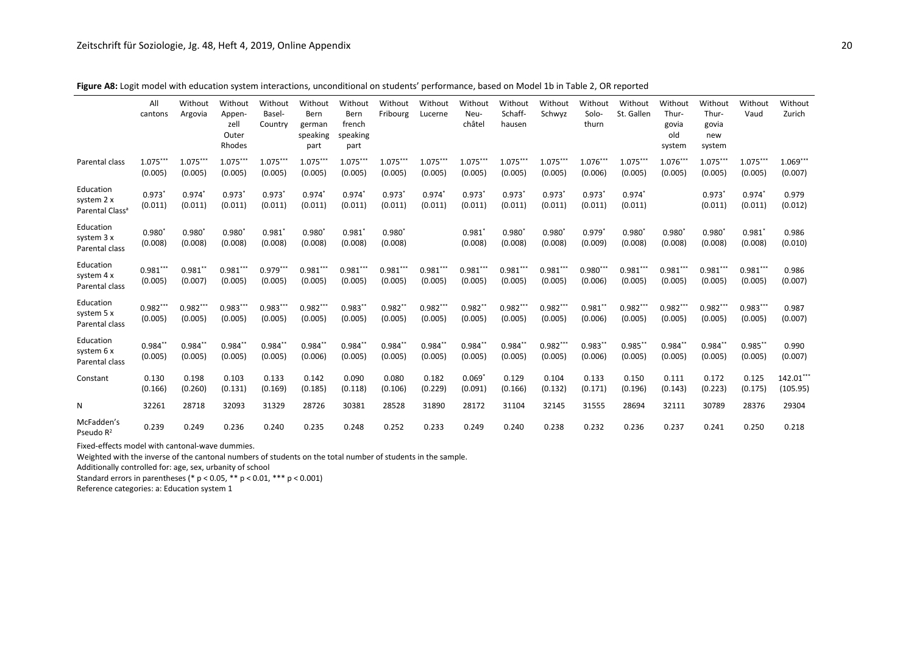|                                                        | All<br>cantons        | Without<br>Argovia         | Without<br>Appen-<br>zell<br>Outer<br>Rhodes | Without<br>Basel-<br>Country    | Without<br>Bern<br>german<br>speaking<br>part | Without<br>Bern<br>french<br>speaking<br>part | Without<br>Fribourg        | Without<br>Lucerne    | Without<br>Neu-<br>châtel | Without<br>Schaff-<br>hausen | Without<br>Schwyz     | Without<br>Solo-<br>thurn       | Without<br>St. Gallen | Without<br>Thur-<br>govia<br>old<br>system | Without<br>Thur-<br>govia<br>new<br>system | Without<br>Vaud       | Without<br>Zurich     |
|--------------------------------------------------------|-----------------------|----------------------------|----------------------------------------------|---------------------------------|-----------------------------------------------|-----------------------------------------------|----------------------------|-----------------------|---------------------------|------------------------------|-----------------------|---------------------------------|-----------------------|--------------------------------------------|--------------------------------------------|-----------------------|-----------------------|
| Parental class                                         | $1.075***$<br>(0.005) | $1.075***$<br>(0.005)      | $1.075***$<br>(0.005)                        | $1.075***$<br>(0.005)           | 1.075***<br>(0.005)                           | $1.075***$<br>(0.005)                         | $1.075***$<br>(0.005)      | $1.075***$<br>(0.005) | $1.075***$<br>(0.005)     | $1.075***$<br>(0.005)        | 1.075***<br>(0.005)   | 1.076***<br>(0.006)             | $1.075***$<br>(0.005) | 1.076***<br>(0.005)                        | $1.075***$<br>(0.005)                      | $1.075***$<br>(0.005) | $1.069***$<br>(0.007) |
| Education<br>system 2 x<br>Parental Class <sup>a</sup> | $0.973*$<br>(0.011)   | $0.974*$<br>(0.011)        | $0.973*$<br>(0.011)                          | $0.973*$<br>(0.011)             | $0.974*$<br>(0.011)                           | 0.974*<br>(0.011)                             | $0.973*$<br>(0.011)        | $0.974*$<br>(0.011)   | $0.973*$<br>(0.011)       | $0.973*$<br>(0.011)          | 0.973<br>(0.011)      | $0.973*$<br>(0.011)             | $0.974*$<br>(0.011)   |                                            | $0.973*$<br>(0.011)                        | 0.974<br>(0.011)      | 0.979<br>(0.012)      |
| Education<br>system 3 x<br>Parental class              | $0.980*$<br>(0.008)   | $0.980^{\circ}$<br>(0.008) | 0.980<br>(0.008)                             | $0.981$ <sup>*</sup><br>(0.008) | $0.980*$<br>(0.008)                           | $0.981$ <sup>*</sup><br>(0.008)               | $0.980^{\circ}$<br>(0.008) |                       | 0.981'<br>(0.008)         | $0.980*$<br>(0.008)          | 0.980<br>(0.008)      | $0.979$ <sup>*</sup><br>(0.009) | 0.980<br>(0.008)      | $0.980*$<br>(0.008)                        | $0.980^{*}$<br>(0.008)                     | 0.981'<br>(0.008)     | 0.986<br>(0.010)      |
| Education<br>system 4 x<br>Parental class              | $0.981***$<br>(0.005) | $0.981$ *<br>(0.007)       | $0.981***$<br>(0.005)                        | $0.979***$<br>(0.005)           | $0.981***$<br>(0.005)                         | $0.981***$<br>(0.005)                         | $0.981***$<br>(0.005)      | $0.981***$<br>(0.005) | $0.981***$<br>(0.005)     | $0.981***$<br>(0.005)        | $0.981***$<br>(0.005) | $0.980***$<br>(0.006)           | $0.981***$<br>(0.005) | $0.981***$<br>(0.005)                      | $0.981***$<br>(0.005)                      | $0.981***$<br>(0.005) | 0.986<br>(0.007)      |
| Education<br>system 5 x<br>Parental class              | $0.982***$<br>(0.005) | $0.982***$<br>(0.005)      | $0.983***$<br>(0.005)                        | $0.983***$<br>(0.005)           | $0.982***$<br>(0.005)                         | $0.983**$<br>(0.005)                          | $0.982**$<br>(0.005)       | $0.982***$<br>(0.005) | $0.982**$<br>(0.005)      | $0.982***$<br>(0.005)        | $0.982***$<br>(0.005) | $0.981**$<br>(0.006)            | $0.982***$<br>(0.005) | $0.982***$<br>(0.005)                      | $0.982***$<br>(0.005)                      | $0.983***$<br>(0.005) | 0.987<br>(0.007)      |
| Education<br>system 6 x<br>Parental class              | $0.984**$<br>(0.005)  | $0.984**$<br>(0.005)       | $0.984**$<br>(0.005)                         | $0.984**$<br>(0.005)            | $0.984**$<br>(0.006)                          | $0.984**$<br>(0.005)                          | $0.984**$<br>(0.005)       | $0.984**$<br>(0.005)  | $0.984$ *<br>(0.005)      | $0.984**$<br>(0.005)         | $0.982***$<br>(0.005) | $0.983**$<br>(0.006)            | $0.985$ *<br>(0.005)  | $0.984**$<br>(0.005)                       | $0.984**$<br>(0.005)                       | $0.985***$<br>(0.005) | 0.990<br>(0.007)      |
| Constant                                               | 0.130<br>(0.166)      | 0.198<br>(0.260)           | 0.103<br>(0.131)                             | 0.133<br>(0.169)                | 0.142<br>(0.185)                              | 0.090<br>(0.118)                              | 0.080<br>(0.106)           | 0.182<br>(0.229)      | 0.069'<br>(0.091)         | 0.129<br>(0.166)             | 0.104<br>(0.132)      | 0.133<br>(0.171)                | 0.150<br>(0.196)      | 0.111<br>(0.143)                           | 0.172<br>(0.223)                           | 0.125<br>(0.175)      | 142.01**<br>(105.95)  |
| N                                                      | 32261                 | 28718                      | 32093                                        | 31329                           | 28726                                         | 30381                                         | 28528                      | 31890                 | 28172                     | 31104                        | 32145                 | 31555                           | 28694                 | 32111                                      | 30789                                      | 28376                 | 29304                 |
| McFadden's<br>Pseudo R <sup>2</sup>                    | 0.239                 | 0.249                      | 0.236                                        | 0.240                           | 0.235                                         | 0.248                                         | 0.252                      | 0.233                 | 0.249                     | 0.240                        | 0.238                 | 0.232                           | 0.236                 | 0.237                                      | 0.241                                      | 0.250                 | 0.218                 |

**Figure A8:** Logit model with education system interactions, unconditional on students' performance, based on Model 1b in Table 2, OR reported

Fixed-effects model with cantonal-wave dummies.

Weighted with the inverse of the cantonal numbers of students on the total number of students in the sample.

Additionally controlled for: age, sex, urbanity of school

Standard errors in parentheses (\* p < 0.05, \*\* p < 0.01, \*\*\* p < 0.001)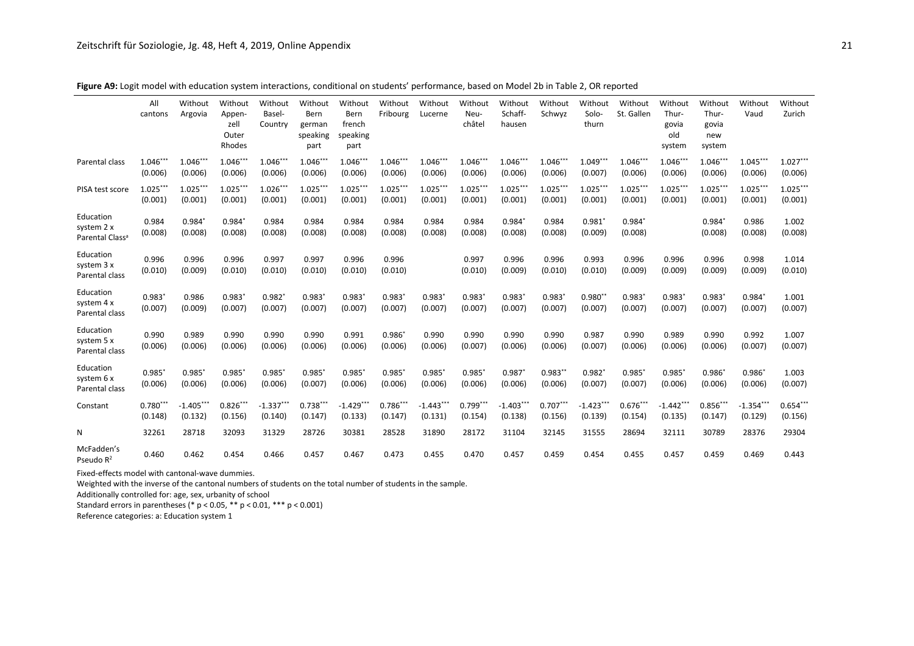|                                                        | All<br>cantons        | Without<br>Argovia     | Without<br>Appen-<br>zell<br>Outer<br>Rhodes | Without<br>Basel-<br>Country | Without<br>Bern<br>german<br>speaking<br>part | Without<br>Bern<br>french<br>speaking<br>part | Without<br>Fribourg   | Without<br>Lucerne    | Without<br>Neu-<br>châtel | Without<br>Schaff-<br>hausen | Without<br>Schwyz     | Without<br>Solo-<br>thurn | Without<br>St. Gallen | Without<br>Thur-<br>govia<br>old<br>system | Without<br>Thur-<br>govia<br>new<br>system | Without<br>Vaud        | Without<br>Zurich     |
|--------------------------------------------------------|-----------------------|------------------------|----------------------------------------------|------------------------------|-----------------------------------------------|-----------------------------------------------|-----------------------|-----------------------|---------------------------|------------------------------|-----------------------|---------------------------|-----------------------|--------------------------------------------|--------------------------------------------|------------------------|-----------------------|
| Parental class                                         | $1.046**$<br>(0.006)  | 1.046***<br>(0.006)    | $1.046***$<br>(0.006)                        | $1.046***$<br>(0.006)        | $1.046***$<br>(0.006)                         | $1.046***$<br>(0.006)                         | $1.046***$<br>(0.006) | $1.046***$<br>(0.006) | $1.046***$<br>(0.006)     | $1.046***$<br>(0.006)        | $1.046***$<br>(0.006) | $1.049***$<br>(0.007)     | 1.046***<br>(0.006)   | 1.046***<br>(0.006)                        | $1.046***$<br>(0.006)                      | $1.045***$<br>(0.006)  | $1.027***$<br>(0.006) |
| PISA test score                                        | $1.025***$<br>(0.001) | $1.025***$<br>(0.001)  | $1.025***$<br>(0.001)                        | $1.026***$<br>(0.001)        | $1.025***$<br>(0.001)                         | $1.025***$<br>(0.001)                         | $1.025***$<br>(0.001) | $1.025***$<br>(0.001) | $1.025***$<br>(0.001)     | $1.025***$<br>(0.001)        | $1.025***$<br>(0.001) | $1.025***$<br>(0.001)     | $1.025***$<br>(0.001) | $1.025***$<br>(0.001)                      | $1.025***$<br>(0.001)                      | $1.025***$<br>(0.001)  | $1.025***$<br>(0.001) |
| Education<br>system 2 x<br>Parental Class <sup>a</sup> | 0.984<br>(0.008)      | 0.984<br>(0.008)       | $0.984*$<br>(0.008)                          | 0.984<br>(0.008)             | 0.984<br>(0.008)                              | 0.984<br>(0.008)                              | 0.984<br>(0.008)      | 0.984<br>(0.008)      | 0.984<br>(0.008)          | 0.984<br>(0.008)             | 0.984<br>(0.008)      | $0.981*$<br>(0.009)       | $0.984*$<br>(0.008)   |                                            | 0.984<br>(0.008)                           | 0.986<br>(0.008)       | 1.002<br>(0.008)      |
| Education<br>system 3 x<br>Parental class              | 0.996<br>(0.010)      | 0.996<br>(0.009)       | 0.996<br>(0.010)                             | 0.997<br>(0.010)             | 0.997<br>(0.010)                              | 0.996<br>(0.010)                              | 0.996<br>(0.010)      |                       | 0.997<br>(0.010)          | 0.996<br>(0.009)             | 0.996<br>(0.010)      | 0.993<br>(0.010)          | 0.996<br>(0.009)      | 0.996<br>(0.009)                           | 0.996<br>(0.009)                           | 0.998<br>(0.009)       | 1.014<br>(0.010)      |
| Education<br>system 4 x<br>Parental class              | $0.983*$<br>(0.007)   | 0.986<br>(0.009)       | $0.983*$<br>(0.007)                          | $0.982*$<br>(0.007)          | $0.983*$<br>(0.007)                           | 0.983<br>(0.007)                              | 0.983'<br>(0.007)     | $0.983*$<br>(0.007)   | $0.983*$<br>(0.007)       | 0.983'<br>(0.007)            | 0.983'<br>(0.007)     | $0.980**$<br>(0.007)      | 0.983'<br>(0.007)     | $0.983*$<br>(0.007)                        | $0.983*$<br>(0.007)                        | 0.984<br>(0.007)       | 1.001<br>(0.007)      |
| Education<br>system 5 x<br>Parental class              | 0.990<br>(0.006)      | 0.989<br>(0.006)       | 0.990<br>(0.006)                             | 0.990<br>(0.006)             | 0.990<br>(0.006)                              | 0.991<br>(0.006)                              | 0.986<br>(0.006)      | 0.990<br>(0.006)      | 0.990<br>(0.007)          | 0.990<br>(0.006)             | 0.990<br>(0.006)      | 0.987<br>(0.007)          | 0.990<br>(0.006)      | 0.989<br>(0.006)                           | 0.990<br>(0.006)                           | 0.992<br>(0.007)       | 1.007<br>(0.007)      |
| Education<br>system 6 x<br>Parental class              | $0.985*$<br>(0.006)   | 0.985<br>(0.006)       | $0.985*$<br>(0.006)                          | $0.985*$<br>(0.006)          | $0.985*$<br>(0.007)                           | $0.985$ <sup>*</sup><br>(0.006)               | 0.985<br>(0.006)      | $0.985*$<br>(0.006)   | $0.985*$<br>(0.006)       | 0.987<br>(0.006)             | $0.983**$<br>(0.006)  | $0.982*$<br>(0.007)       | 0.985<br>(0.007)      | $0.985*$<br>(0.006)                        | $0.986*$<br>(0.006)                        | 0.986<br>(0.006)       | 1.003<br>(0.007)      |
| Constant                                               | $0.780***$<br>(0.148) | $-1.405***$<br>(0.132) | $0.826***$<br>(0.156)                        | $-1.337***$<br>(0.140)       | $0.738***$<br>(0.147)                         | $-1.429***$<br>(0.133)                        | $0.786***$<br>(0.147) | $-1.443**$<br>(0.131) | $0.799***$<br>(0.154)     | $-1.403**$<br>(0.138)        | $0.707***$<br>(0.156) | $-1.423***$<br>(0.139)    | $0.676***$<br>(0.154) | $-1.442***$<br>(0.135)                     | $0.856***$<br>(0.147)                      | $-1.354***$<br>(0.129) | $0.654***$<br>(0.156) |
| Ν                                                      | 32261                 | 28718                  | 32093                                        | 31329                        | 28726                                         | 30381                                         | 28528                 | 31890                 | 28172                     | 31104                        | 32145                 | 31555                     | 28694                 | 32111                                      | 30789                                      | 28376                  | 29304                 |
| McFadden's<br>Pseudo $R^2$                             | 0.460                 | 0.462                  | 0.454                                        | 0.466                        | 0.457                                         | 0.467                                         | 0.473                 | 0.455                 | 0.470                     | 0.457                        | 0.459                 | 0.454                     | 0.455                 | 0.457                                      | 0.459                                      | 0.469                  | 0.443                 |

**Figure A9:** Logit model with education system interactions, conditional on students' performance, based on Model 2b in Table 2, OR reported

Fixed-effects model with cantonal-wave dummies.

Weighted with the inverse of the cantonal numbers of students on the total number of students in the sample.

Additionally controlled for: age, sex, urbanity of school

Standard errors in parentheses (\* p < 0.05, \*\* p < 0.01, \*\*\* p < 0.001)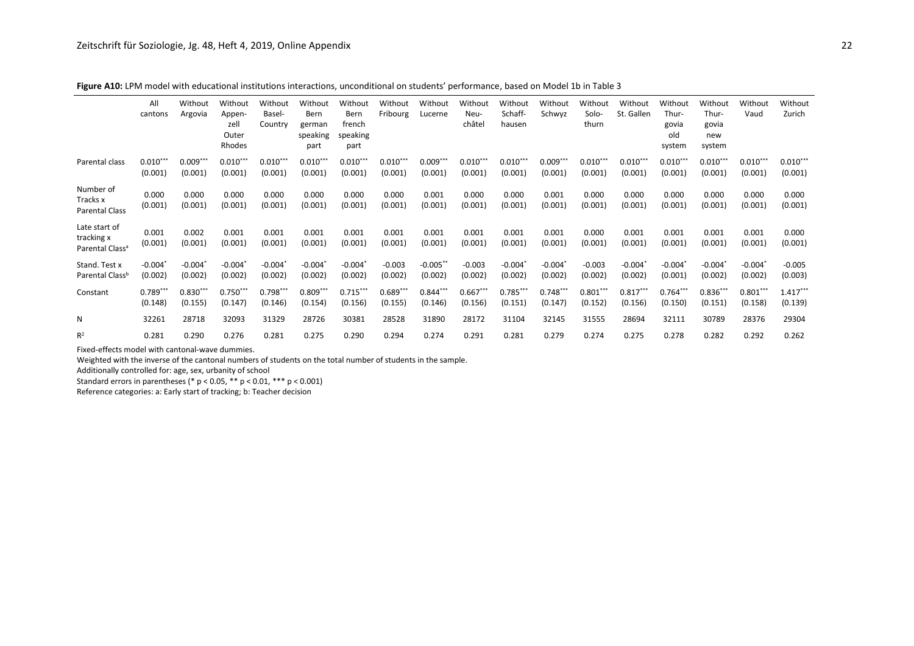|                                                            | All<br>cantons        | Without<br>Argovia    | Without<br>Appen-<br>zell<br>Outer<br>Rhodes | Without<br>Basel-<br>Country | Without<br>Bern<br>german<br>speaking<br>part | Without<br>Bern<br>french<br>speaking<br>part | Without<br>Fribourg   | Without<br>Lucerne     | Without<br>Neu-<br>châtel | Without<br>Schaff-<br>hausen | Without<br>Schwyz     | Without<br>Solo-<br>thurn | Without<br>St. Gallen | Without<br>Thur-<br>govia<br>old<br>system | Without<br>Thur-<br>govia<br>new<br>system | Without<br>Vaud       | Without<br>Zurich     |
|------------------------------------------------------------|-----------------------|-----------------------|----------------------------------------------|------------------------------|-----------------------------------------------|-----------------------------------------------|-----------------------|------------------------|---------------------------|------------------------------|-----------------------|---------------------------|-----------------------|--------------------------------------------|--------------------------------------------|-----------------------|-----------------------|
| Parental class                                             | $0.010***$<br>(0.001) | $0.009***$<br>(0.001) | $0.010***$<br>(0.001)                        | $0.010***$<br>(0.001)        | $0.010***$<br>(0.001)                         | $0.010***$<br>(0.001)                         | $0.010***$<br>(0.001) | $0.009***$<br>(0.001)  | $0.010***$<br>(0.001)     | $0.010***$<br>(0.001)        | $0.009***$<br>(0.001) | $0.010***$<br>(0.001)     | $0.010***$<br>(0.001) | $0.010***$<br>(0.001)                      | $0.010***$<br>(0.001)                      | $0.010***$<br>(0.001) | $0.010***$<br>(0.001) |
| Number of<br>Tracks x<br><b>Parental Class</b>             | 0.000<br>(0.001)      | 0.000<br>(0.001)      | 0.000<br>(0.001)                             | 0.000<br>(0.001)             | 0.000<br>(0.001)                              | 0.000<br>(0.001)                              | 0.000<br>(0.001)      | 0.001<br>(0.001)       | 0.000<br>(0.001)          | 0.000<br>(0.001)             | 0.001<br>(0.001)      | 0.000<br>(0.001)          | 0.000<br>(0.001)      | 0.000<br>(0.001)                           | 0.000<br>(0.001)                           | 0.000<br>(0.001)      | 0.000<br>(0.001)      |
| Late start of<br>tracking x<br>Parental Class <sup>a</sup> | 0.001<br>(0.001)      | 0.002<br>(0.001)      | 0.001<br>(0.001)                             | 0.001<br>(0.001)             | 0.001<br>(0.001)                              | 0.001<br>(0.001)                              | 0.001<br>(0.001)      | 0.001<br>(0.001)       | 0.001<br>(0.001)          | 0.001<br>(0.001)             | 0.001<br>(0.001)      | 0.000<br>(0.001)          | 0.001<br>(0.001)      | 0.001<br>(0.001)                           | 0.001<br>(0.001)                           | 0.001<br>(0.001)      | 0.000<br>(0.001)      |
| Stand. Test x<br>Parental Class <sup>b</sup>               | $-0.004'$<br>(0.002)  | $-0.004"$<br>(0.002)  | $-0.004'$<br>(0.002)                         | $-0.004*$<br>(0.002)         | $-0.004$ <sup>*</sup><br>(0.002)              | $-0.004$<br>(0.002)                           | $-0.003$<br>(0.002)   | $-0.005***$<br>(0.002) | $-0.003$<br>(0.002)       | $-0.004$<br>(0.002)          | $-0.004$<br>(0.002)   | $-0.003$<br>(0.002)       | $-0.004$<br>(0.002)   | $-0.004$<br>(0.001)                        | $-0.004$<br>(0.002)                        | $-0.004$<br>(0.002)   | $-0.005$<br>(0.003)   |
| Constant                                                   | $0.789***$<br>(0.148) | $0.830***$<br>(0.155) | $0.750***$<br>(0.147)                        | $0.798***$<br>(0.146)        | $0.809***$<br>(0.154)                         | $0.715***$<br>(0.156)                         | $0.689***$<br>(0.155) | $0.844***$<br>(0.146)  | $0.667***$<br>(0.156)     | $0.785***$<br>(0.151)        | $0.748**$<br>(0.147)  | $0.801***$<br>(0.152)     | $0.817***$<br>(0.156) | $0.764***$<br>(0.150)                      | $0.836***$<br>(0.151)                      | $0.801***$<br>(0.158) | $1.417***$<br>(0.139) |
| N                                                          | 32261                 | 28718                 | 32093                                        | 31329                        | 28726                                         | 30381                                         | 28528                 | 31890                  | 28172                     | 31104                        | 32145                 | 31555                     | 28694                 | 32111                                      | 30789                                      | 28376                 | 29304                 |
| $R^2$                                                      | 0.281                 | 0.290                 | 0.276                                        | 0.281                        | 0.275                                         | 0.290                                         | 0.294                 | 0.274                  | 0.291                     | 0.281                        | 0.279                 | 0.274                     | 0.275                 | 0.278                                      | 0.282                                      | 0.292                 | 0.262                 |

**Figure A10:** LPM model with educational institutions interactions, unconditional on students' performance, based on Model 1b in Table 3

Fixed-effects model with cantonal-wave dummies.

Weighted with the inverse of the cantonal numbers of students on the total number of students in the sample.

Additionally controlled for: age, sex, urbanity of school

Standard errors in parentheses (\* p < 0.05, \*\* p < 0.01, \*\*\* p < 0.001)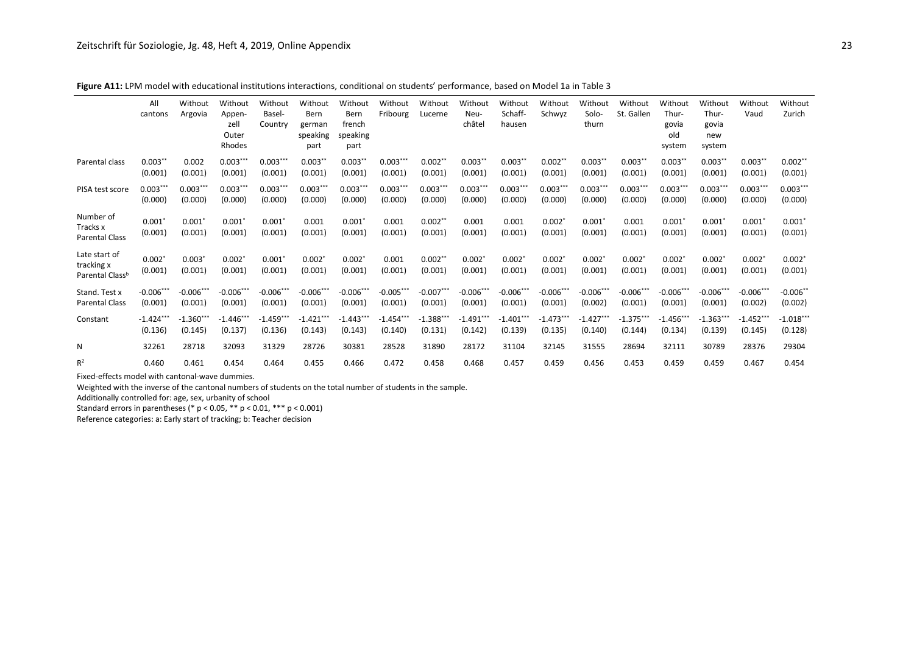|                                                            | All<br>cantons         | Without<br>Argovia     | Without<br>Appen-<br>zell<br>Outer<br>Rhodes | Without<br>Basel-<br>Country | Without<br>Bern<br>german<br>speaking<br>part | Without<br>Bern<br>french<br>speaking<br>part | Without<br>Fribourg    | Without<br>Lucerne     | Without<br>Neu-<br>châtel       | Without<br>Schaff-<br>hausen | Without<br>Schwyz      | Without<br>Solo-<br>thurn | Without<br>St. Gallen  | Without<br>Thur-<br>govia<br>old<br>system | Without<br>Thur-<br>govia<br>new<br>system | Without<br>Vaud        | Without<br>Zurich      |
|------------------------------------------------------------|------------------------|------------------------|----------------------------------------------|------------------------------|-----------------------------------------------|-----------------------------------------------|------------------------|------------------------|---------------------------------|------------------------------|------------------------|---------------------------|------------------------|--------------------------------------------|--------------------------------------------|------------------------|------------------------|
| Parental class                                             | $0.003**$<br>(0.001)   | 0.002<br>(0.001)       | $0.003***$<br>(0.001)                        | $0.003***$<br>(0.001)        | $0.003***$<br>(0.001)                         | $0.003**$<br>(0.001)                          | $0.003***$<br>(0.001)  | $0.002**$<br>(0.001)   | $0.003***$<br>(0.001)           | $0.003***$<br>(0.001)        | $0.002**$<br>(0.001)   | $0.003**$<br>(0.001)      | $0.003**$<br>(0.001)   | $0.003**$<br>(0.001)                       | $0.003***$<br>(0.001)                      | $0.003**$<br>(0.001)   | $0.002**$<br>(0.001)   |
| PISA test score                                            | $0.003***$<br>(0.000)  | $0.003***$<br>(0.000)  | $0.003***$<br>(0.000)                        | $0.003***$<br>(0.000)        | $0.003***$<br>(0.000)                         | $0.003***$<br>(0.000)                         | $0.003***$<br>(0.000)  | $0.003***$<br>(0.000)  | $0.003***$<br>(0.000)           | $0.003***$<br>(0.000)        | $0.003**$<br>(0.000)   | $0.003***$<br>(0.000)     | $0.003***$<br>(0.000)  | $0.003***$<br>(0.000)                      | $0.003***$<br>(0.000)                      | $0.003***$<br>(0.000)  | $0.003***$<br>(0.000)  |
| Number of<br>Tracks x<br><b>Parental Class</b>             | 0.001'<br>(0.001)      | 0.001<br>(0.001)       | $0.001*$<br>(0.001)                          | $0.001*$<br>(0.001)          | 0.001<br>(0.001)                              | 0.001<br>(0.001)                              | 0.001<br>(0.001)       | $0.002**$<br>(0.001)   | 0.001<br>(0.001)                | 0.001<br>(0.001)             | 0.002<br>(0.001)       | 0.001<br>(0.001)          | 0.001<br>(0.001)       | 0.001<br>(0.001)                           | 0.001'<br>(0.001)                          | 0.001"<br>(0.001)      | $0.001*$<br>(0.001)    |
| Late start of<br>tracking x<br>Parental Class <sup>b</sup> | $0.002*$<br>(0.001)    | 0.003<br>(0.001)       | $0.002*$<br>(0.001)                          | $0.001*$<br>(0.001)          | $0.002*$<br>(0.001)                           | $0.002*$<br>(0.001)                           | 0.001<br>(0.001)       | $0.002**$<br>(0.001)   | $0.002$ <sup>*</sup><br>(0.001) | $0.002*$<br>(0.001)          | $0.002*$<br>(0.001)    | $0.002*$<br>(0.001)       | $0.002*$<br>(0.001)    | $0.002*$<br>(0.001)                        | $0.002*$<br>(0.001)                        | $0.002*$<br>(0.001)    | $0.002*$<br>(0.001)    |
| Stand. Test x<br>Parental Class                            | $-0.006***$<br>(0.001) | $-0.006***$<br>(0.001) | $-0.006***$<br>(0.001)                       | $-0.006***$<br>(0.001)       | $-0.006***$<br>(0.001)                        | $-0.006***$<br>(0.001)                        | $-0.005***$<br>(0.001) | $-0.007***$<br>(0.001) | $-0.006***$<br>(0.001)          | $-0.006***$<br>(0.001)       | $-0.006***$<br>(0.001) | $-0.006***$<br>(0.002)    | $-0.006***$<br>(0.001) | $-0.006***$<br>(0.001)                     | $-0.006***$<br>(0.001)                     | $-0.006***$<br>(0.002) | $-0.006$ **<br>(0.002) |
| Constant                                                   | $-1.424$<br>(0.136)    | $-1.360**$<br>(0.145)  | $-1.446***$<br>(0.137)                       | $-1.459***$<br>(0.136)       | $-1.421$<br>(0.143)                           | $-1.443***$<br>(0.143)                        | $-1.454***$<br>(0.140) | $-1.388***$<br>(0.131) | $-1.491**$<br>(0.142)           | $-1.401**$<br>(0.139)        | $-1.473***$<br>(0.135) | $-1.427***$<br>(0.140)    | $-1.375***$<br>(0.144) | $-1.456***$<br>(0.134)                     | $-1.363***$<br>(0.139)                     | $-1.452**$<br>(0.145)  | $-1.018***$<br>(0.128) |
| N                                                          | 32261                  | 28718                  | 32093                                        | 31329                        | 28726                                         | 30381                                         | 28528                  | 31890                  | 28172                           | 31104                        | 32145                  | 31555                     | 28694                  | 32111                                      | 30789                                      | 28376                  | 29304                  |
| $R^2$                                                      | 0.460                  | 0.461                  | 0.454                                        | 0.464                        | 0.455                                         | 0.466                                         | 0.472                  | 0.458                  | 0.468                           | 0.457                        | 0.459                  | 0.456                     | 0.453                  | 0.459                                      | 0.459                                      | 0.467                  | 0.454                  |

**Figure A11:** LPM model with educational institutions interactions, conditional on students' performance, based on Model 1a in Table 3

Fixed-effects model with cantonal-wave dummies.

Weighted with the inverse of the cantonal numbers of students on the total number of students in the sample.

Additionally controlled for: age, sex, urbanity of school

Standard errors in parentheses (\* p < 0.05, \*\* p < 0.01, \*\*\* p < 0.001)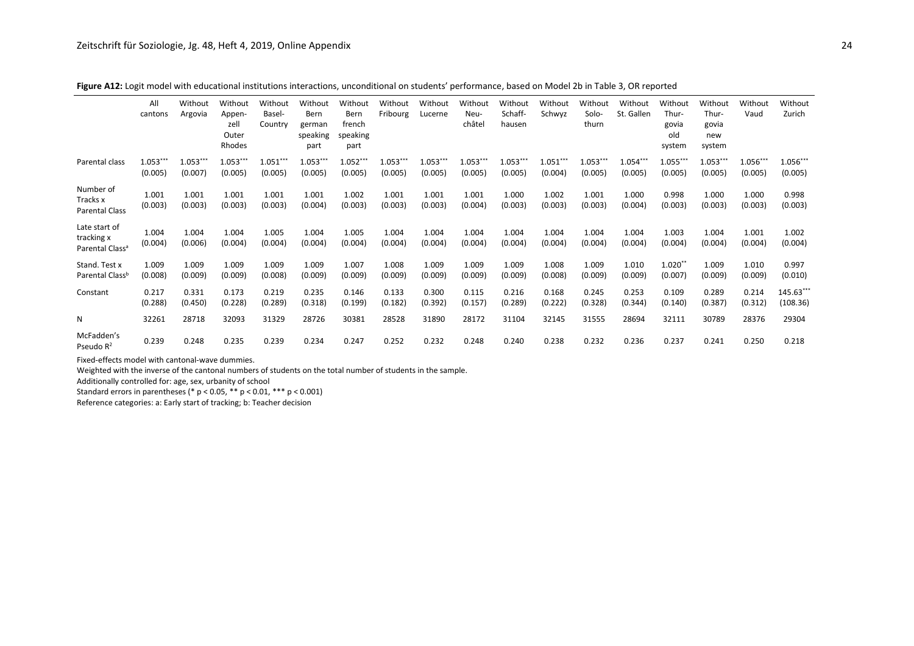|                                                            | All<br>cantons   | Without<br>Argovia    | Without<br>Appen-<br>zell<br>Outer<br>Rhodes | Without<br>Basel-<br>Country | Without<br>Bern<br>german<br>speaking<br>part | Without<br>Bern<br>french<br>speaking<br>part | Without<br>Fribourg   | Without<br>Lucerne    | Without<br>Neu-<br>châtel | Without<br>Schaff-<br>hausen | Without<br>Schwyz    | Without<br>Solo-<br>thurn | Without<br>St. Gallen | Without<br>Thur-<br>govia<br>old<br>system | Without<br>Thur-<br>govia<br>new<br>system | Without<br>Vaud       | Without<br>Zurich    |
|------------------------------------------------------------|------------------|-----------------------|----------------------------------------------|------------------------------|-----------------------------------------------|-----------------------------------------------|-----------------------|-----------------------|---------------------------|------------------------------|----------------------|---------------------------|-----------------------|--------------------------------------------|--------------------------------------------|-----------------------|----------------------|
| Parental class                                             | 1.053<br>(0.005) | $1.053***$<br>(0.007) | $1.053***$<br>(0.005)                        | 1.051<br>(0.005)             | $1.053***$<br>(0.005)                         | $1.052***$<br>(0.005)                         | $1.053***$<br>(0.005) | $1.053***$<br>(0.005) | $1.053***$<br>(0.005)     | $1.053***$<br>(0.005)        | $1.051**$<br>(0.004) | 1.053***<br>(0.005)       | 1.054***<br>(0.005)   | $1.055***$<br>(0.005)                      | $1.053***$<br>(0.005)                      | $1.056***$<br>(0.005) | 1.056***<br>(0.005)  |
| Number of<br>Tracks x<br><b>Parental Class</b>             | 1.001<br>(0.003) | 1.001<br>(0.003)      | 1.001<br>(0.003)                             | 1.001<br>(0.003)             | 1.001<br>(0.004)                              | 1.002<br>(0.003)                              | 1.001<br>(0.003)      | 1.001<br>(0.003)      | 1.001<br>(0.004)          | 1.000<br>(0.003)             | 1.002<br>(0.003)     | 1.001<br>(0.003)          | 1.000<br>(0.004)      | 0.998<br>(0.003)                           | 1.000<br>(0.003)                           | 1.000<br>(0.003)      | 0.998<br>(0.003)     |
| Late start of<br>tracking x<br>Parental Class <sup>a</sup> | 1.004<br>(0.004) | 1.004<br>(0.006)      | 1.004<br>(0.004)                             | 1.005<br>(0.004)             | 1.004<br>(0.004)                              | 1.005<br>(0.004)                              | 1.004<br>(0.004)      | 1.004<br>(0.004)      | 1.004<br>(0.004)          | 1.004<br>(0.004)             | 1.004<br>(0.004)     | 1.004<br>(0.004)          | 1.004<br>(0.004)      | 1.003<br>(0.004)                           | 1.004<br>(0.004)                           | 1.001<br>(0.004)      | 1.002<br>(0.004)     |
| Stand. Test x<br>Parental Class <sup>b</sup>               | 1.009<br>(0.008) | 1.009<br>(0.009)      | 1.009<br>(0.009)                             | 1.009<br>(0.008)             | 1.009<br>(0.009)                              | 1.007<br>(0.009)                              | 1.008<br>(0.009)      | 1.009<br>(0.009)      | 1.009<br>(0.009)          | 1.009<br>(0.009)             | 1.008<br>(0.008)     | 1.009<br>(0.009)          | 1.010<br>(0.009)      | $1.020$ *'<br>(0.007)                      | 1.009<br>(0.009)                           | 1.010<br>(0.009)      | 0.997<br>(0.010)     |
| Constant                                                   | 0.217<br>(0.288) | 0.331<br>(0.450)      | 0.173<br>(0.228)                             | 0.219<br>(0.289)             | 0.235<br>(0.318)                              | 0.146<br>(0.199)                              | 0.133<br>(0.182)      | 0.300<br>(0.392)      | 0.115<br>(0.157)          | 0.216<br>(0.289)             | 0.168<br>(0.222)     | 0.245<br>(0.328)          | 0.253<br>(0.344)      | 0.109<br>(0.140)                           | 0.289<br>(0.387)                           | 0.214<br>(0.312)      | 145.63**<br>(108.36) |
| N                                                          | 32261            | 28718                 | 32093                                        | 31329                        | 28726                                         | 30381                                         | 28528                 | 31890                 | 28172                     | 31104                        | 32145                | 31555                     | 28694                 | 32111                                      | 30789                                      | 28376                 | 29304                |
| McFadden's<br>Pseudo $R^2$                                 | 0.239            | 0.248                 | 0.235                                        | 0.239                        | 0.234                                         | 0.247                                         | 0.252                 | 0.232                 | 0.248                     | 0.240                        | 0.238                | 0.232                     | 0.236                 | 0.237                                      | 0.241                                      | 0.250                 | 0.218                |

**Figure A12:** Logit model with educational institutions interactions, unconditional on students' performance, based on Model 2b in Table 3, OR reported

Fixed-effects model with cantonal-wave dummies.

Weighted with the inverse of the cantonal numbers of students on the total number of students in the sample.

Additionally controlled for: age, sex, urbanity of school

Standard errors in parentheses (\* p < 0.05, \*\* p < 0.01, \*\*\* p < 0.001)